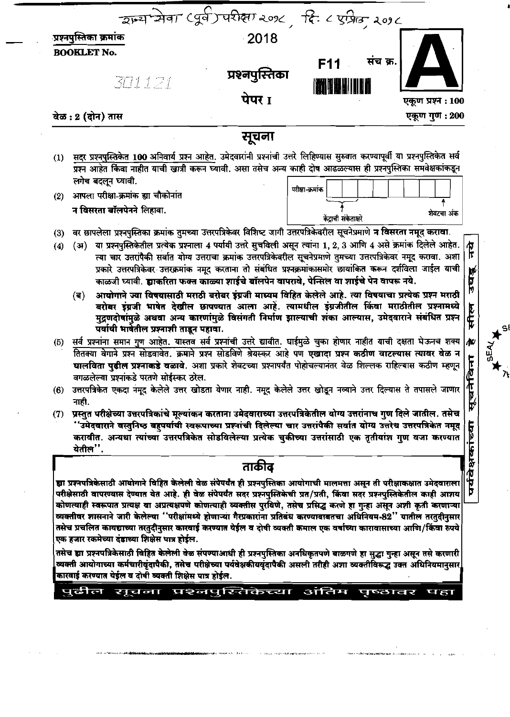| राज्य सेवा (पूर्व) परीक्षा २०१८, दिः ८ एप्रिल, २०१८                                                                                                                                                                                                                                                                                                                                                                                                                           |                                                         |  |  |
|-------------------------------------------------------------------------------------------------------------------------------------------------------------------------------------------------------------------------------------------------------------------------------------------------------------------------------------------------------------------------------------------------------------------------------------------------------------------------------|---------------------------------------------------------|--|--|
| <u>प्रश्नपुस्तिका क्रमांक</u><br>$\cdot$ 2018<br><b>BOOKLET No.</b><br>प्रश्नपुस्तिका                                                                                                                                                                                                                                                                                                                                                                                         | संच क्र.<br>F11                                         |  |  |
| 301121<br>पेपर 1<br>वेळ : 2 (दोन) तास                                                                                                                                                                                                                                                                                                                                                                                                                                         | <b>THE HILLE</b><br>एकूण प्रश्न : 100<br>एकूण गुण : 200 |  |  |
| सूचना<br>(1) <u>सदर प्रश्नपुस्तिकेत 100 अनिवार्य प्रश्न आहेत</u> . उमेदवारांनी प्रश्नांची उत्तरे लिहिण्यास सुरुवात करण्यापूर्वी या प्रश्नपुस्तिकेत सर्व<br>प्रश्न आहेत किंवा नाहीत याची खात्री करून घ्यावी. असा तसेच अन्य काही दोष आढळल्यास ह                                                                                                                                                                                                                                 |                                                         |  |  |
| लगेच बदलून घ्यावी.<br>(2) आपला परीक्षा-क्रमांक ह्या चौकोनांत<br>न विसरता बॉलपेनने लिहावा.                                                                                                                                                                                                                                                                                                                                                                                     | परीक्षा-क्रमांक  <br>शेवटचा अंक                         |  |  |
| (3) वर छापलेला प्रश्नपुस्तिका क्रमांक तुमच्या उत्तरपत्रिकेवर विशिष्ट जागी उत्तरपत्रिकेवरील सूचनेप्रमाणे न विसरता नमूद करावा.<br>(4) (अ) या प्रश्नपुस्तिकेतील प्रत्येक प्रश्नाला 4 पर्यायी उत्तरे सुचविली असून त्यांना 1, 2, 3 आणि 4 असे क्रमांक दिलेले आहेत. $ \pmb{\pi} $                                                                                                                                                                                                    | केंद्राची संकेताकरे                                     |  |  |
| ्त्या चार उत्तरांपैकी सर्वात योग्य उत्तराचा क्रमांक उत्तरपत्रिकेवरील सूचनेप्रमाणे तुमच्या उत्तरपत्रिकेवर नमूद करावा. अशा   पि<br>प्रकारे उत्तरपत्रिकेवर उत्तरक्रमांक नमूद करताना तो संबंधित प्रश्नक्रमांकासमोर छायांकित करून दर्<br>काळजी घ्यावी. ह्याकरिता फक्त काळ्या शाईचे बॉलपेन वापरावे, पेन्सिल वा शाईचे पेन वापरू नये.<br>(ब) आयोगाने ज्या विषयासाठी मराठी बरोबर इंग्रजी माध्यम विहित केलेले आहे. त्या विषयाचा प्रत्येक प्रश्न मराठी                                   |                                                         |  |  |
| स्तर में स्वर्ग करने साथ स्थान का कार्या करना करने के साथ करने में स्वर्ग करने का करने नगर करने का स्थान करने<br>मुद्रणदोषांमुळे अथवा अन्य कारणांमुळे विसंगती निर्माण झाल्याची शंका आल्यास, उमेदवाराने संबंधित प्रश्न कि स्मृति<br><br>(5) सर्व प्रश्नांना समान गुण आहेत. यास्तव सर्व प्रश्नांची उत्तरे द्यावीत. घाईमुळे चुका होणार नाहीत याची दक्षता घेऊनच शक्य कि ।<br>हितक्या वेगाने प्रश्न सोडवावेत. क्रमाने प्रश्न सोडविणे श्रेयस्कर आहे पण <b>एखादा प्रश्न कठीण वाट</b> |                                                         |  |  |
| ्घालविता पुढील प्रश्नाकडे वळावे. अशा प्रकारे शेवटच्या प्रश्नापर्यंत पोहोचल्यानंतर वेळ शिल्लक राहिल्यास कठीण म्हणून  <br>वगळलेल्या प्रश्नांकडे परतणे सोईस्कर ठरेल.<br>(6) उत्तरपत्रिकेत एकदा नमूद केलेले उत्तर खोडता येणार नाही. नमूद केलेले उत्तर खोडून नव्याने उत्तर दिल्यास ते तपासले जाणार $\vert'$                                                                                                                                                                        | $\mathbb{Z}^{\mathbb{Z}}$                               |  |  |
| नाही.<br>(7) प्रस्तुत परीक्षेच्या उत्तरपत्रिकांचे मूल्यांकन करताना उमेदवाराच्या उत्तरपत्रिकेतील योग्य उत्तरांनाच गुण दिले जातील. तसेच<br>ं 'उमेदवाराने वस्तुनिष्ठ बहुपर्यायी स्वरूपाच्या प्रश्नांची दिलेल्या चार उत्तरांपैकी सर्वात योग्य उत्तरेच उत्तरपत्रिकेत नमूद   <br>करावीत. अन्यथा त्यांच्या उत्तरपत्रिकेत सोडविलेल्या प्रत्येक चुकीच्या उत्तरांसाठी एक तृतीयांश ग                                                                                                     |                                                         |  |  |
| येतील".<br>ताकीद                                                                                                                                                                                                                                                                                                                                                                                                                                                              |                                                         |  |  |
| ह्या प्रश्नपत्रिकेसाठी आयोगाने विहित केलेली वेळ संपेपर्यंत ही प्रश्नपुस्तिका आयोगाची मालमत्ता असून ती परीक्षाकक्षात उमेदवाराला  फें<br> परीक्षेसाठी वापरण्यास देण्यात येत आहे. ही वेळ संपेपर्यंत सदर प्रश्नपुस्तिकेची प्रत/प्र<br>  व्यक्तीवर शासनाने जारी केलेल्या ''परीक्षांमध्ये होणाऱ्या गैरप्रकारांना प्रतिबंध करण्याबाबतचा अधिनियम-82'' यातील तरतुदीनुसार                                                                                                               |                                                         |  |  |
| तसेच प्रचलित कायद्याच्या तरतुदीनुसार कारवाई करण्यात येईल व दोषी व्यक्ती कमाल एक वर्षाच्या कारावासाच्या आणि/किंवा रुपये<br> एक हजार रकमेच्या दंडाच्या शिक्षेस पात्र होईल.<br>तसेच ह्या प्रश्नपत्रिकेसाठी विहित केलेली वेळ संपण्याआधी ही प्रश्नपुस्तिका अनधिकृतपणे बाळगणे हा सुद्धा गुन्हा असून तसे करणारी करणारी करणारी करणारी करणारी करणारी करणारी करणारी करणारी करणारी करणारी करणारी करणारी करणारी करणार<br>कारवाई करण्यात येईल व दोषी व्यक्ती शिक्षेस पात्र होईल.           |                                                         |  |  |
| पुढील सूचना प्रश्नपुस्तिकेच्या अंतिम पृष्ठावर पहा                                                                                                                                                                                                                                                                                                                                                                                                                             |                                                         |  |  |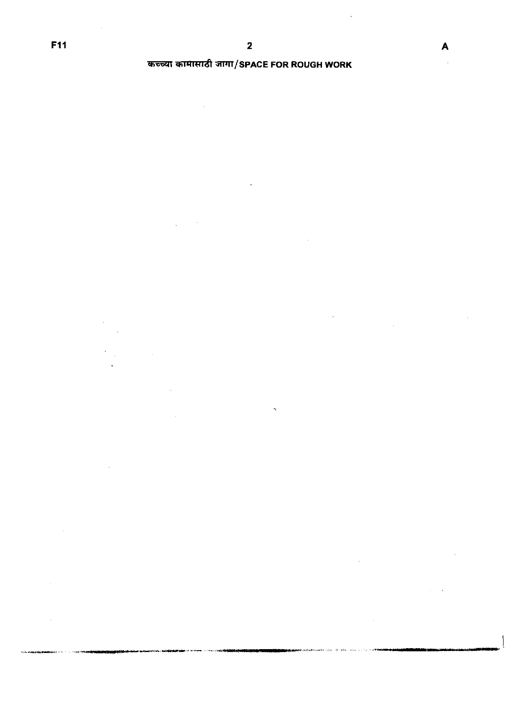alice a minimum maged

# कच्च्या कामासाठी जागा/SPACE FOR ROUGH WORK

 $\bar{\beta}$ 

 $\hat{\mathcal{A}}$ 

 $\hat{a}$ 

 $\bar{z}$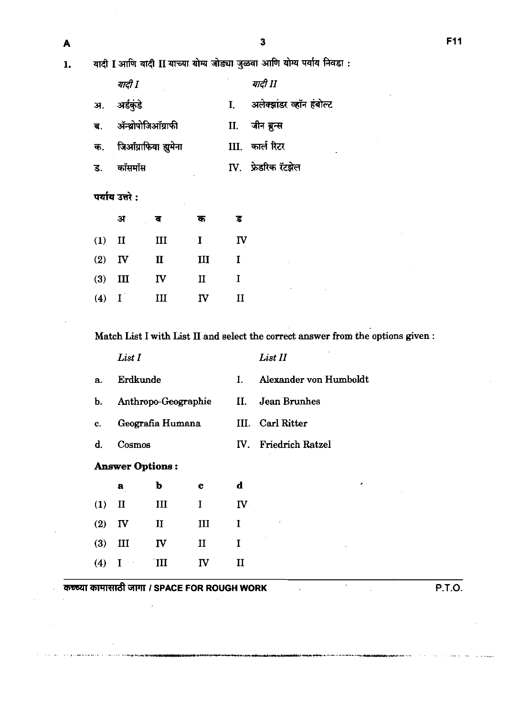| -- |
|----|
|    |

 $\mathbf{1}$ .

यादी I आणि यादी II याच्या योग्य जोड्या जुळवा आणि योग्य पर्याय निवडा :

|    | यादी I                 |    | यादी II                  |
|----|------------------------|----|--------------------------|
| अ. | अर्डकडे                | I. | अलेक्झांडर व्हॉन हंबोल्ट |
| ब. | ॲन्थ्रोपोजिऑग्राफी     |    | II. जीन ब्रन्स           |
|    | क. जिऑग्राफिया ह्यसेना |    | III.   कार्ल रिटर        |
| ड. | कॉसमॉस                 |    | IV. फ्रेडरिक रॅटझेल      |
|    |                        |    |                          |

|          | अ         | ब           | क            | ड        |
|----------|-----------|-------------|--------------|----------|
| $(1)$ II |           | III         | L            | IV       |
|          | $(2)$ IV  | $\mathbf u$ | Ш            | 1        |
|          | $(3)$ III | IV          | $\mathbf{I}$ | I        |
| $(4)$ I  |           | Ш           | ΓV           | $\rm II$ |

Match List I with List I1 and select the correct answer from the options given :

|    | List I              |    | List II                |
|----|---------------------|----|------------------------|
| a. | Erdkunde            | Ι. | Alexander von Humboldt |
| b. | Anthropo-Geographie |    | II. Jean Brunhes       |
| c. | Geografia Humana    |    | III. Carl Ritter       |
| d. | Cosmos              |    | IV. Friedrich Ratzel   |
|    |                     |    |                        |

# **Answer** Options :

÷.

|          | a         | b        | c   | d              |
|----------|-----------|----------|-----|----------------|
| $(1)$ II |           | Ш        | L   | ${\bf I}$ V    |
| $(2)$ IV |           | $\rm II$ | III | L              |
|          | $(3)$ III | IV       | II  | I              |
|          | $(4)$ I   | ΊIΙ      | IV  | $\bf{I}\bf{I}$ |

**Uil4Wd** GllTl **I SPACE FOR ROUGH WORK P.T.O.**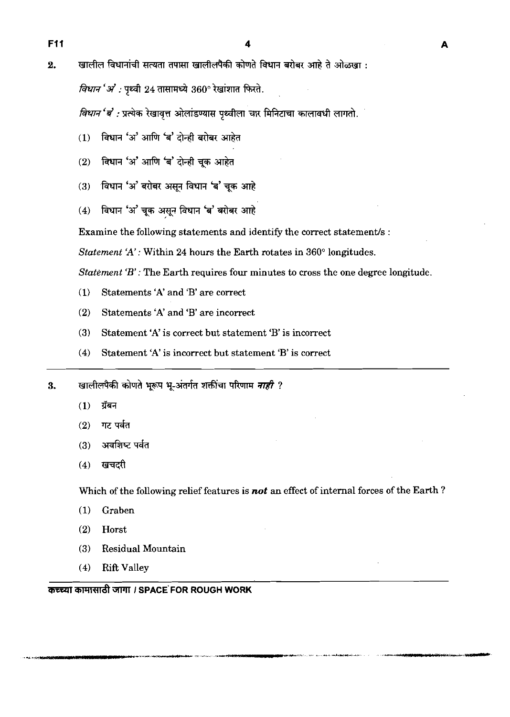*विधान 'अं :* पृथ्वी 24 तासामध्ये 360° रेखांशात फिरते.

*विधान* '*ब*' : प्रत्येक रेखावृत्त ओलांडण्यास पृथ्वीला चार मिनिटाचा कालावधी लागतो.

- विधान 'अ' आणि 'ब' दोन्ही बरोबर आहेत  $(1)$
- विधान 'अ' आणि 'ब' दोन्ही चुक आहेत  $(2)$
- ंविधान 'अ' बरोबर असन विधान 'ब' चुक आहे  $(3)$
- (4) विधान 'अ' चूक असून विधान 'ब' बरोबर आहे

Examine the following statements and identify the correct statement/s :

*Statement* 'A': Within **24** hours the Earth rotates in **360"** longitudes.

*Statement 'B'* : The Earth requires four minutes to cross the one degree longitude.

- **(1)** Statements 'A' and 'B' are correct
- **(2)** Statements 'A' and 'B' are incorrect
- **(3)** Statement 'A' is correct but statement 'B' is incorrect
- **(4)** Statement 'A' is incorrect but statement 'B' is correct

खालीलपैकी कोणते भूरूप भू-अंतर्गत शक्तींचा परिणाम *नाही ?* 3.

- ग्रॅबन  $(1)$
- $(2)$ गट पर्वत
- अवशिष्ट पर्वत  $(3)$
- खचदरी  $(4)$

Which of the following relief features is **not** an effect of internal forces of the Earth?

- (1) Graben
- **(2)** Horst
- **(3)** Residual Mountain
- **(4)** Rift Valley

कच्च्या कामासाठी जागा / SPACE FOR ROUGH WORK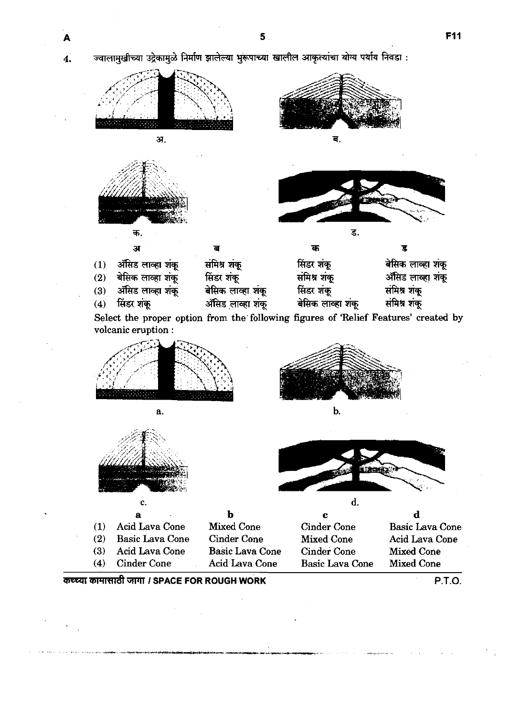ज्वालामुखीच्या उद्रेकामुळे निर्माण झालेल्या भुरूपाच्या खालील आकृत्यांचा योग्य पर्याय निवडा :

5



Select the proper option from the following figures of 'Relief Features' created by volcanic eruption :



a.









|     | а                      | b                      | c                      | d                      |
|-----|------------------------|------------------------|------------------------|------------------------|
| (1) | Acid Lava Cone         | <b>Mixed Cone</b>      | <b>Cinder Cone</b>     | <b>Basic Lava Cone</b> |
| (2) | <b>Basic Lava Cone</b> | Cinder Cone            | <b>Mixed Cone</b>      | Acid Lava Cone         |
| (3) | Acid Lava Cone         | <b>Basic Lava Cone</b> | <b>Cinder Cone</b>     | <b>Mixed Cone</b>      |
| (4) | <b>Cinder Cone</b>     | Acid Lava Cone         | <b>Basic Lava Cone</b> | <b>Mixed Cone</b>      |

MVR'F!~ W **I SPACE FOR ROUGH WORK P.T.O.**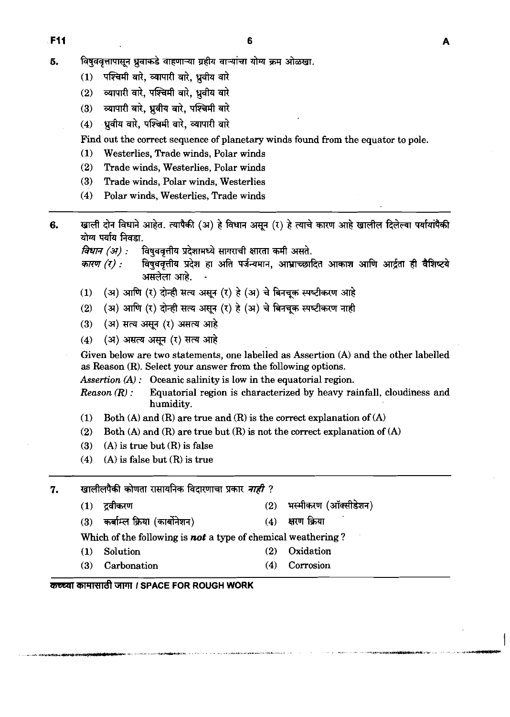- 5. विषुववृत्तापासून ध्रुवाकडे वाहणाऱ्या ग्रहीय वाऱ्यांचा योग्य क्रम ओळखा.
	- पश्चिमी वारे. व्यापारी वारे. ध्रवीय वारे  $(1)$
	- व्यापारी वारे. पश्चिमी वारे. ध्रवीय वारे  $(2)$
	- व्यापारी वारे, ध्रुवीय वारे, पश्चिमी वारे  $(3)$
	- ्ध्रवीय वारे. पश्चिमी वारे. व्यापारी वारे  $(4)$

Find out the correct sequence of planetary winds found from the equator to pole.

- **(1)** Westerlies, Trade winds, Polar winds
- **(2)** Trade winds, Westerlies, Polar winds
- **(3)** Trade winds, Polar winds, Westerlies
- (4) Polar winds, Westerlies, Trade winds
- **6.** खाली दोन विधाने आहेत. त्यापैकी (अ) हे विधान असून (र) हे त्याचे कारण आहे खालील दिलेल्या पर्यायांपैकी योग्य पर्याय निवडा.

*विधान (अ) :* विषुववृत्तीय प्रदेशामध्ये सागराची क्षारता कमी असते.<br>*कारण (र) :* विषुववृत्तीय प्रदेश हा अति पर्जन्यमान, आभ्राच्छा!

- विषुववृत्तीय प्रदेश हा अति पर्जन्यमान, आभ्राच्छादित आकाश आणि आर्द्रता ही वैशिष्टये असलेला आहे. (4) Polar winds, Westerlies, Trade winds<br> **(4) Polar winds, Am Conference Winds**<br> **and Review And Amery Conference and The Conference And Amery Algers and Prime (7) : and and and and and and an<br>** *anty (1) :* **and and and a**
- (1) (अ) आणि (र) दोन्ही सत्य असून (र) हे (अ) चे बिनचूक स्पष्टीकरण आहे<br>(2) (अ) आणि (र) दोन्ही सत्य असून (र) हे (अ) चे बिनचूक स्पष्टीकरण नाही<br>(3) (अ) सत्य असन (र) असत्य आहे
- 
- **(3) (3) m** a-ql **(T) mi?**
- 

(1) (अ) आणि (र) दोन्ही सत्य असून (र) हे (अ) चे बिनचूक स्पष्टीकरण आहे<br>(2) (अ) आणि (र) दोन्ही सत्य असून (र) हे (अ) चे बिनचूक स्पष्टीकरण नाही<br>(3) (अ) सत्य असून (र) असत्य आहे<br>(4) (अ) असत्य असून (र) सत्य आहे<br>Given belo as Reason **(R).** Select your answer from the following options.

Assertion  $(A)$ : Oceanic salinity is low in the equatorial region.

*Reason*  $(R)$ : Equatorial region is characterized by heavy rainfall, cloudiness and humidity.

- **(1)** Both **(A)** and **(R)** are true and **(R)** is the correct explanation of **(A)**  (1) Both (A) and (R) are true and (R) is the correct explanation (2) Both (A) and (R) are true but (R) is not the correct explanation<br>
(3) (A) is true but (R) is false<br>
(4) (A) is false but (R) is true<br> **(4) (A) is false**
- **(2)** Both **(A)** and **(R)** are true but **(R)** is not the correct explanation of **(A)**
- **(3) (A)** is true but **(R)** is false
- **(4) (A)** is false but **(R)** is true

7. खालीलपैकी कोणता रासायनिक विदारणाचा प्रकार *नाही* ?

- 
- 
- **(3)** \* rn (-) **(4) mk**  Which of the following is not a type of chemical weathering?
- **(1)** Solution **(2)** Oxidation
- **(3)** Carbonation **(4)** Corrosion

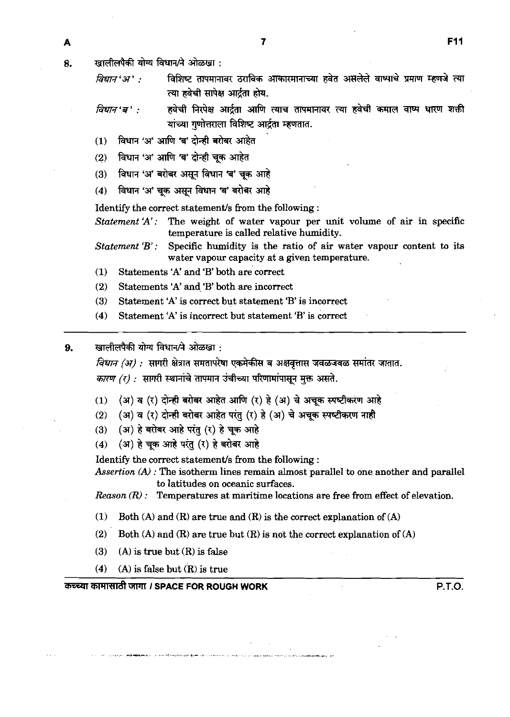8.

खालीलपैकी योग्य विधान/ने ओळखा :

विधान'अ' : विशिष्ट तापमानावर ठराविक आकारमानाच्या हवेत असलेले वाष्पाचे प्रमाण म्हणजे त्या त्या हवेची सापेक्ष आर्दता होय.

हवेची निरपेक्ष आर्द्रता आणि त्याच तापमानावर त्या हवेची कमाल वाष्प धारण शक्ती *विधान* 'ब': यांच्या गणोत्तराला विशिष्ट आर्द्रता म्हणतात.

- विधान 'अ' आणि 'ब' दोन्ही बरोबर आहेत  $(1)$
- विधान 'अ' आणि 'ब' दोन्ही चुक आहेत  $(2)$
- विधान 'अ' बरोबर असून विधान 'ब' चुक आहे  $(3)$
- विधान 'अ' चुक असुन विधान 'ब' बरोबर आहे  $(4)$

Identify the correct statement/s from the following :

*Statement* 'A': The weight of water vapour per unit volume of air in specific temperature is called relative humidity.

*Statement 'B':* Specific humidity is the ratio of air water vapour content **to** its water vapour capacity at a given temperature.

**(1)** Statements **'A'** and 'B' both are'corred

(2) Statements 'A' and 'B' both are incorrect

- **(3)** Statement 'A' is correct but statement 'B' is incorrect
- **(4)** Statement 'A' is incorrect but statement 'B' is correct

खालीलपैकी योग्य विधान/ने ओळखा - $\mathbf{Q}$ 

> *विधान (अ) :* सागरी क्षेत्रात समतापरेषा एकमेकीस व अक्षवृत्तास जवळजवळ समांतर जातात. कारण (र) : सागरी स्थानांचे तापमान उंचीच्या परिणामांपासून मुक्त असते.

- (1) (अ) व (र) दोन्ही बरोबर आहेत आणि (र) हे (अ) चे अचूक स्पष्टीकरण आहे
- (2) **(अ) व (र) दोन्ही बरोबर आहेत परंतु (र) हे (अ) चे अचुक स्पष्टीकरण नाही**
- (3) *(अ) हे बरोबर आहे परंतु (र) हे चुक आहे*
- (4) (अ) हे चूक आहे परंतु (र) हे बरोबर आहे

Identify the correct statement's from the following :

*Assertion* **(A)** : The isotherm lines remain almost parallel to one another and parallel to latitudes on oceanic surfaces.

*Reason (R)* : Temperatures at maritime locations are free from effect of elevation.

- **(1)** Both **(A)** and **(R)** are true and **(R)** is the correct explanation of **(A)**
- **(2)** Both **(A)** and **(R)** are true but **(R)** is not the corred explanation of **(A)**
- **(3) (A)** is true but **(R)** is false
- **(4) (A)** is false but **(R) is** true

**mrm;rrrdt** TPll **I SPACE FOR ROUGH WORK P.T.O.**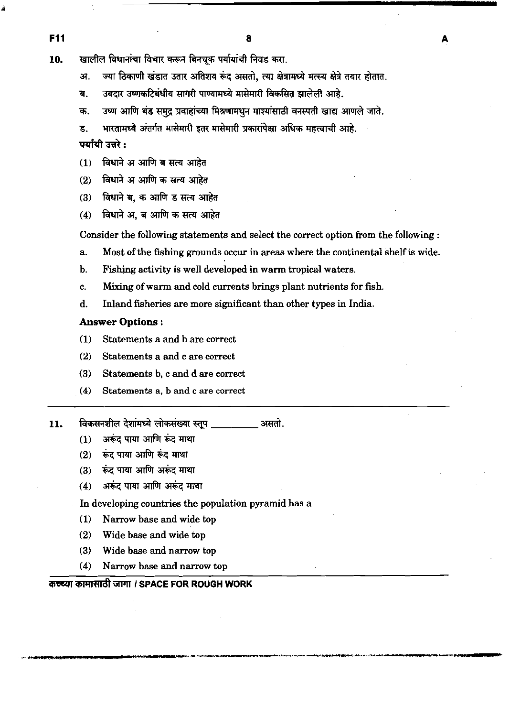खालील विधानांचा विचार करून बिनचुक पर्यायांची निवड करा. 10.

> ज्या ठिकाणी खंडात उतार अतिशय रूंद असतो. त्या क्षेत्रामध्ये मत्स्य क्षेत्रे तयार होतात. अ.

- उबदार उष्णकटिबंधीय सागरी पाण्यामध्ये मासेमारी विकसित झालेली आहे. ਰ.
- उष्ण आणि थंड समद प्रवाहांच्या मिश्रणामधन माश्यांसाठी वनस्पती खाद्य आणले जाते. क.
- भारतामध्ये अंतर्गत मासेमारी इतर मासेमारी प्रकारांपेक्षा अधिक महत्त्वाची आहे. ड.

पर्यायी उत्तरे :

- विधाने अ आणि ब सत्य आहेत  $(1)$
- विधाने अ आणि क सत्य आहेत  $(2)$
- विधाने ब. क आणि ड सत्य आहेत  $(3)$
- विधाने अ. ब आणि क सत्य आहेत  $(4)$

Consider the following statements and select the correct option from the following :

- a. Most of the fishing grounds occur in areas where the continental shelf is wide.
- b. Fishing activity is well developed in warm tropical waters.
- c. Mixing of warm and cold currents brings plant nutrients for fish.
- d. Inland fisheries are more significant than other types in India.

### **Answer** Options :

- (1) Statements a and b are correct
- **(2)** Statements a and c are correct
- (3) Statements **b,** c and d are correct
- **(4)** Statements **a,** b and c are correct
- विकसनशील देशांमध्ये लोकसंख्या स्तुप असतो. 11.
	- अरूंद पाया आणि रूंद माथा  $(1)$
	- रूंद पाया आणि रूंद माथा  $(2)$
	- रूंद पाया आणि अरूंद माथा  $(3)$
	- अरूंद पाया आणि अरूंद माथा  $(4)$
	- In developing countries the population pyramid has a
	- (1) Narrow base and wide top
	- (2) Wide base and wide top
	- (3) Wide base and narrow top
	- (4) Narrow base and narrow top

# **कच्च्या कामासाठी जागा। SPACE FOR ROUGH WORK**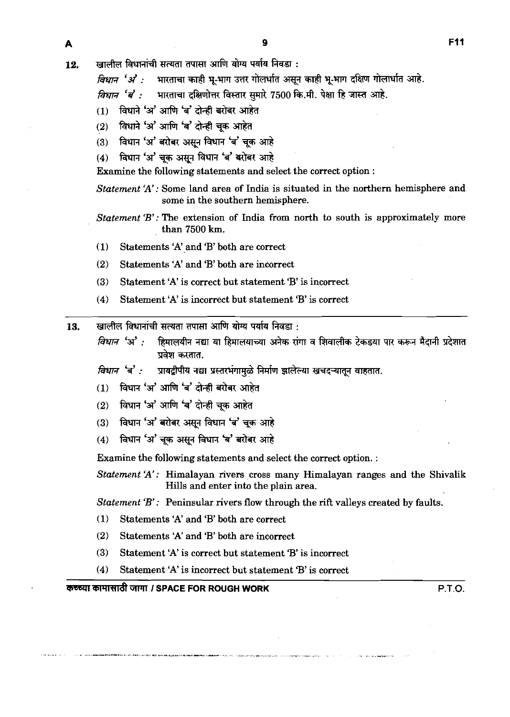$12.$  **li** 

खालील विधानांची सत्यता तपासा आणि योग्य पर्याय निवडा :<br>*विधान 'अं' :* भारताचा काही भू-भाग उत्तर गोलर्धात असून काही भू-भाग दक्षिण गोलार्धात आहे.

*विधान 'ब' :* भारताचा दक्षिणोत्तर विस्तार सुमारे 7500 कि.मी. पेक्षा हि जास्त आहे.

- (1) विधाने 'अ' आणि 'ब' दोन्ही बरोबर आहेत
- (2) विधाने 'अ' आणि 'ब' दोन्ही चुक आहेत
- (3) विधान 'अ' बरोबर असून विधान 'ब' चूक आहे
- (4) विधान 'अ' चुक असून विधान 'ब' बरोबर आहे

Examine the following statements and select the correct option :

*Statement* 'A': Some land area of India is situated in the northern hemisphere and some in the southern hemisphere.

*Statement 'B':* The extension of India from north to south is approximately more than **7500 km.** 

- (1) Statements 'A' and 'B' both are correct
- **(2)** Statements 'A' and 'B' both are incorrect
- **(3)** Statement 'A' is correct but statement 'B' is incorrect
- **(4)** Statement 'A' is incorrect but statement 'B' is correct
- खालील विधानांची सत्यता तपासा आणि योग्य पर्याय निवडा : 13.
	- हिमालयीन नद्या या हिमालयाच्या अनेक रांगा व शिवालीक टेकडया पार करून मैदानी प्रदेशात विधान 'अ' : प्रवेश करतात.

प्रायद्वीपीय नद्या प्रस्तरभंगामुळे निर्माण झालेल्या खचदऱ्यातून वाहतात. विधान बै :

- विधान 'अ' आणि 'ब' दोन्ही बरोबर आहेत  $(1)$
- विधान 'अ' आणि 'ब' दोन्ही चूक आहेत  $(2)$
- विधान 'अ' बरोबर असून विधान 'ब' चूक आहे  $(3)$
- विधान 'अ' चुक असून विधान 'ब' बरोबर आहे  $(4)$

Examine the following statements and select the correct option. :

*Statement* 'A': Himalayan rivers cross many Himalayan ranges and the Shivalik Hills and enter into the plain area.

*Statement 'B'* : Peninsular rivers flow through the riff valleys created by faults.

- **(1)** Statements 'A' and 'B' both are correct
- **(2)** Statements 'A' and 'B' both are incorrect
- **(3)** Statement 'A' is correct but statement 'B' is incorrect
- **(4)** Statement 'A' is incorrect but statement 'B' is correct

# **M~W I SPACE FOR ROUGH WORK P.T.O.**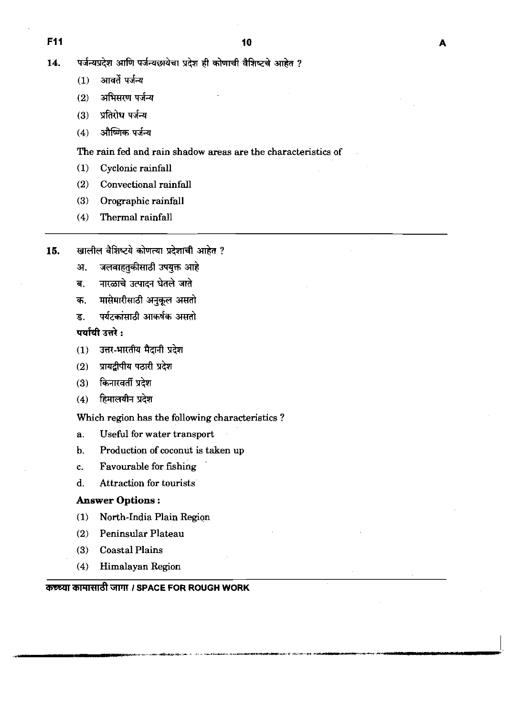- आवर्ते पर्जन्य  $(1)$
- $(2)$ अभिसरण पर्जन्य
- प्रतिरोध पर्जन्य  $(3)$
- औष्णिक पर्जन्य  $(4)$

The rain fed and rain shadow areas are the characteristics of

- **(1)** Cyclonic rainfall
- **(2)** Convectional rainfall
- **(3)** Orographic rainfall
- **(4)** Thermal rainfall
- खालील वैशिष्टये कोणत्या प्रदेशाची आहेत ? 15.
	- जलवाहतुकीसाठी उपयुक्त आहे अ.
	- नारळाचे उत्पादन घेतले जाते ब.
	- मासेमारीसाठी अनुकूल असतो क.
	- पर्यटकांसाठी आकर्षक असतो ड.

# पर्यायी उत्तरे :

- उत्तर-भारतीय मैदानी प्रदेश  $(1)$
- प्रायद्वीपीय पठारी प्रदेश  $(2)$
- (3) किनारवर्ती प्रदेश
- हिमालयीन प्रदेश  $(4)$

Which region has the following characteristics ?

- a. Useful for water transport
- b. Production of coconut is taken up
- c. Favourable for fishing
- d. Attraction for tourists

### **Answer** Options :

- **(1)** North-India Plain Region
- **(2)** Peninsular Plateau
- **(3)** Coastal Plains
- **(4)** Himalayan Region

# **~mmr;m?ft~ I SPACE FOR ROUGH WORK**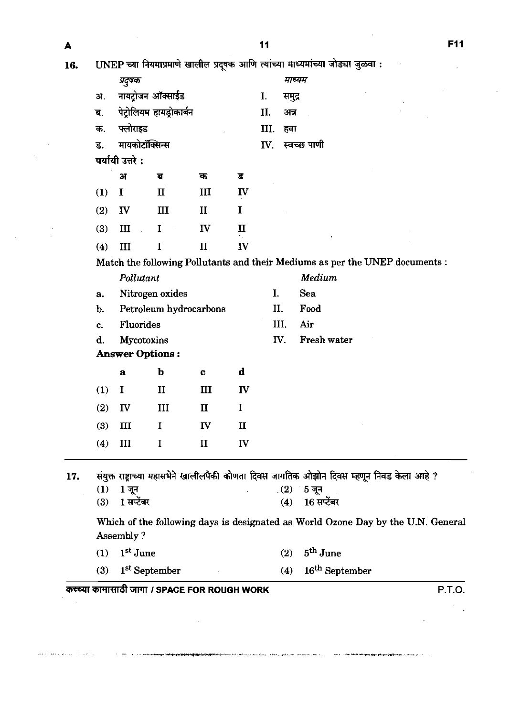| A   |     |                      |                                              |              |              | 11  |        |                                                                                            | <b>F11</b> |
|-----|-----|----------------------|----------------------------------------------|--------------|--------------|-----|--------|--------------------------------------------------------------------------------------------|------------|
| 16. |     |                      |                                              |              |              |     |        | UNEP च्या नियमाप्रमाणे खालील प्रदूषक आणि त्यांच्या माध्यमांच्या जोड्या जुळवा :             |            |
|     |     | प्रदूषक              |                                              |              |              |     |        | माध्यम                                                                                     |            |
|     | अ.  |                      | नायट्रोजन ऑक्साईड                            |              |              | I.  | समुद्र |                                                                                            |            |
|     | ब   |                      | पेट्रोलियम हायड्रोकार्बन                     |              |              | П.  | अन्न   |                                                                                            |            |
|     | क.  | फ्लोराइड             |                                              |              |              | Ш.  | हवा    |                                                                                            |            |
|     | ड.  |                      | मायकोटॉक्सिन्स                               |              |              | IV. |        | स्वच्छ पाणी                                                                                |            |
|     |     | पर्यायी उत्तरे :     |                                              |              |              |     |        |                                                                                            |            |
|     |     | अ                    | ब                                            | क.           | ड            |     |        |                                                                                            |            |
|     | (1) | I                    | $\mathbf{I}$                                 | Ш            | $\mathbf{I}$ |     |        |                                                                                            |            |
|     | (2) | ${\bf I} {\bf V}$    | Ш                                            | $\mathbf{I}$ | I            |     |        |                                                                                            |            |
|     | (3) | $\mathbf{I}$         | I                                            | IV           | $\mathbf{I}$ |     |        |                                                                                            |            |
|     | (4) | III                  | I                                            | $\mathbf{I}$ | <b>IV</b>    |     |        |                                                                                            |            |
|     |     |                      |                                              |              |              |     |        | Match the following Pollutants and their Mediums as per the UNEP documents :               |            |
|     |     | Pollutant            |                                              |              |              |     |        | Medium                                                                                     |            |
|     | a.  |                      | Nitrogen oxides                              |              |              | Ι.  |        | Sea                                                                                        |            |
|     | b.  |                      | Petroleum hydrocarbons                       |              |              |     | Π.     | Food                                                                                       |            |
|     | c.  | Fluorides            |                                              |              |              |     | Ш.     | Air                                                                                        |            |
|     | d.  |                      | Mycotoxins                                   |              |              |     | IV.    | Fresh water                                                                                |            |
|     |     |                      | <b>Answer Options:</b>                       |              |              |     |        |                                                                                            |            |
|     |     | $\mathbf a$          | b                                            | C            | $\mathbf d$  |     |        |                                                                                            |            |
|     | (1) | I                    | $\mathbf{I}$                                 | Ш            | $\mathbf{I}$ |     |        |                                                                                            |            |
|     | (2) | ${\bf I} {\bf V}$    | $\mathbf{III}$                               | $\mathbf{I}$ | I            |     |        |                                                                                            |            |
|     | (3) | Ш                    | 1                                            | $\mathbf{I}$ | $\mathbf{I}$ |     |        |                                                                                            |            |
|     | (4) | III                  | I                                            | $\mathbf{I}$ | ${\bf \Pi}$  |     |        |                                                                                            |            |
| 17. |     |                      |                                              |              |              |     |        | संयुक्त राष्ट्राच्या महासभेने खालीलपैकी कोणता दिवस जागतिक ओझोन दिवस म्हणून निवड केला आहे ? |            |
|     | (1) | 1 जून                |                                              |              |              |     | (2)    | 5 जून                                                                                      |            |
|     | (3) | 1 सप्टेंबर           |                                              |              |              |     | (4)    | 16 सप्टेंबर                                                                                |            |
|     |     | Assembly?            |                                              |              |              |     |        | Which of the following days is designated as World Ozone Day by the U.N. General           |            |
|     | (1) | 1 <sup>st</sup> June |                                              |              |              |     | (2)    | $5^{\text{th}}$ June                                                                       |            |
|     | (3) |                      | 1 <sup>st</sup> September                    |              |              |     | (4)    | 16 <sup>th</sup> September                                                                 |            |
|     |     |                      | कच्च्या कामासाठी जागा / SPACE FOR ROUGH WORK |              |              |     |        |                                                                                            | P.T.O.     |

 $\ddot{\phantom{a}}$ 

í,

l,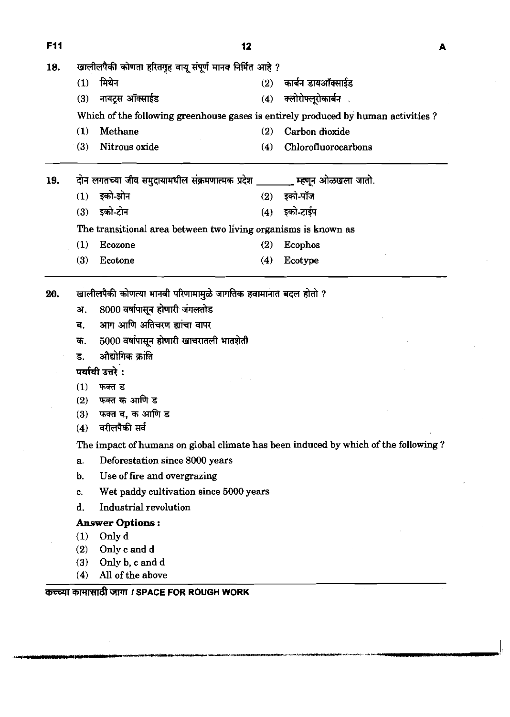18. खालीलपैकी कोणता हरितगृह वायू संपूर्ण मानव निर्मित **(1)** f& (2) \* **3m-** 

- 
- (3) नायट्रस ऑक्साईड (4) क्लोरोफ्लूरोकार्बन

Which of the following greenhouse gases is entirely produced by human activities ?

- **(1)** Methane (2) Carbon dioxide
- (3) Nitrous oxide (4) Chlorofluorocarbons

19. दोन लगतच्या जीव समुदायामधील संक्रमणात्मक प्रदेश **wife-19. 24 Example 2018** जातो.

- $(1)$  इको-झोन  $(2)$  इको-पो
- (3) **Fd-Zh (4) Fd-\***

The transitional area between two living organisms is known as

- (1) Ecozone (2) Ecophos
- (3) Ecotone (4) Ecotype

20. खालीलपैकी कोणत्या मानवी परिणामामुळे जागतिक हवामानात बदल होतो ?

- अ. 8000 वर्षापासून होणारी जंगलतोड
- ब. आग आणि अतिचरण ह्यांचा वापर
- क. 5000 वर्षापासून होणारी खाचरातली भातशेती
- <u>ड. औद्योगिक क्रांति</u>
- **पर्यायी उत्तरे:**
- **(1)** फक्त ड<br>(2) फक्त क
- **फक्त क आणि ड**
- (3) फक्त ब, क आणि ड<br>(4) वरीलपैकी सर्व
- 

क. 5000 वर्षापासून होणा<br>ड. औद्योगिक क्रांति<br>पर्यायी उत्तरे :<br>(1) फक्त ड<br>(2) फक्त ब, क आणि ड<br>(4) वरीलपैकी सर्व<br>(4) वरीलपैकी सर्व<br>The impact of humans The impact of humans on global climate has been induced by which of the following ?

- a. Deforestation since 8000 years
- b. Use of fire and overgrazing
- c. Wet paddy cultivation since 5000 years
- d. Industrial revolution

# **Answer** Options :

- (1) Only d
- **(2)** Only c and d
- (3) Only b, c and d
- (4) All of the above

# कच्च्या कामासाठी जागा *।* SPACE FOR ROUGH WORK

A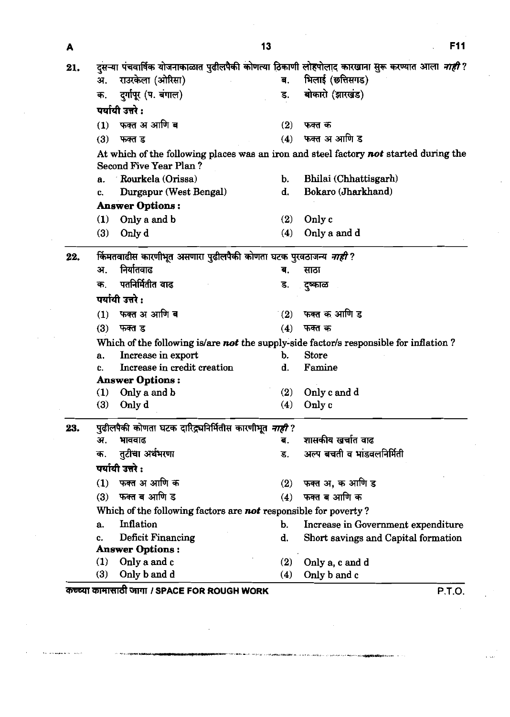| A   |                                                                          | 13             | <b>F11</b>                                                                                             |
|-----|--------------------------------------------------------------------------|----------------|--------------------------------------------------------------------------------------------------------|
| 21. |                                                                          |                | दुसऱ्या पंचवार्षिक योजनाकाळात पुढीलपैकी कोणत्या ठिकाणी लोहपोलाद कारखाना सुरू करण्यात आला <i>नाही</i> ? |
|     | राउरकेला (ओरिसा)<br>अ.                                                   | ब.             | भिलाई (छत्तिसगड)                                                                                       |
|     | दुर्गापूर (प. बंगाल)<br>क.                                               |                | बोकारो (झारखंड)                                                                                        |
|     | पर्यायी उत्तरे :                                                         |                |                                                                                                        |
|     | (1) फक्त अ आणि ब                                                         | (2)            | फक्त क                                                                                                 |
|     | $(3)$ फक्त ड                                                             |                | (4) फक्त अ आणि ड                                                                                       |
|     | Second Five Year Plan?                                                   |                | At which of the following places was an iron and steel factory not started during the                  |
|     | Rourkela (Orissa)<br>а.                                                  | $\mathbf{b}$ . | Bhilai (Chhattisgarh)                                                                                  |
|     | Durgapur (West Bengal)                                                   | ₫.             | <b>Bokaro (Jharkhand)</b>                                                                              |
|     | <b>Answer Options:</b>                                                   |                |                                                                                                        |
|     | $(1)$ Only a and b                                                       |                | (2) Only c                                                                                             |
|     | (3)<br>Only d                                                            |                | $(4)$ Only a and d                                                                                     |
|     |                                                                          |                |                                                                                                        |
| 22. | र्किमतवाढीस कारणीभूत असणारा पुढीलपैकी कोणता घटक पुरवठाजन्य <i>नाही</i> ? |                |                                                                                                        |
|     | निर्यातवाढ<br>अ.                                                         | ब.             | साठा                                                                                                   |
|     | पतनिर्मितीत वाढ<br>क.                                                    | ड.             | ुष्काळ                                                                                                 |
|     | पर्यायी उत्तरे :                                                         |                |                                                                                                        |
|     | $(1)$ फक्त अ आणि ब                                                       |                | $(2)$ फक्त क आणि ड                                                                                     |
|     | $(3)$ फक्त ड                                                             | (4)            | फक्त क                                                                                                 |
|     |                                                                          |                | Which of the following is/are not the supply-side factor/s responsible for inflation?                  |
|     | Increase in export                                                       |                | <b>Store</b>                                                                                           |
|     | Increase in credit creation                                              | ₫.             | Famine                                                                                                 |
|     | <b>Answer Options:</b>                                                   |                |                                                                                                        |
|     | $(1)$ Only a and b<br>(3)<br>Only d                                      |                | (2) Only c and $d$<br>(4) Only $c$                                                                     |
|     |                                                                          |                |                                                                                                        |
| 23. | पुढीलपैकी कोणता घटक दारिद्र्यनिर्मितीस कारणीभूत <i>नाही</i> ?            |                |                                                                                                        |
|     | अ.<br>भाववाढ                                                             | ब.             | शासकीय खर्चात वाढ                                                                                      |
|     | क. तुटीचा अर्थभरणा                                                       |                | अल्प बचती व भांडवलनिर्मिती                                                                             |
|     | पर्यायी उत्तरे :                                                         |                |                                                                                                        |
|     | (1) फक्त अ आणि क                                                         |                | $(2)$ फक्त अ, क आणि ड                                                                                  |
|     | $(3)$ फक्त ब आणि ड                                                       |                | (4) फक्त ब आणि क                                                                                       |
|     | Which of the following factors are not responsible for poverty?          |                |                                                                                                        |
|     | Inflation<br>a.                                                          | b.             | Increase in Government expenditure                                                                     |
|     | Deficit Financing                                                        | d.             | Short savings and Capital formation                                                                    |
|     | <b>Answer Options:</b>                                                   |                |                                                                                                        |
|     | (1) Only a and $c$                                                       |                | (2) Only $a, c$ and $d$                                                                                |
|     | $(3)$ Only b and d                                                       |                |                                                                                                        |
|     | कच्च्या कामासाठी जागा / SPACE FOR ROUGH WORK                             |                | (4) Only b and c                                                                                       |

# **jrmr I SPACE FOR ROUGH WORK P.T.O.**

 $\bar{z}$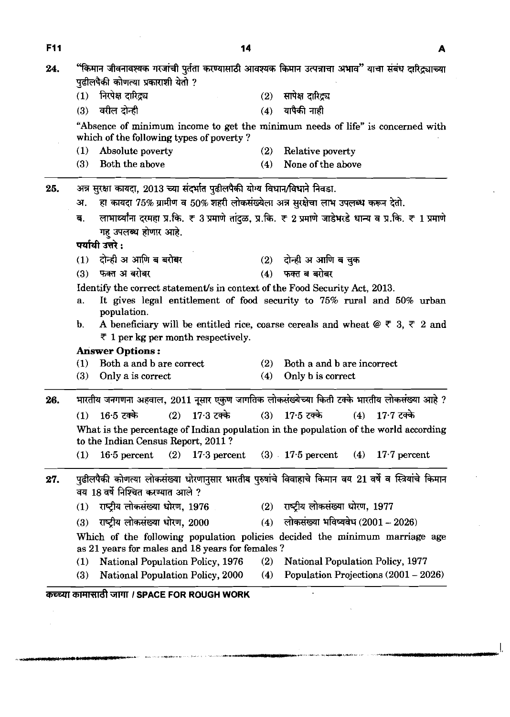| <b>F11</b> | 14                                                                                                                                                                           |     |                                                 |                    |
|------------|------------------------------------------------------------------------------------------------------------------------------------------------------------------------------|-----|-------------------------------------------------|--------------------|
| 24.        | "किमान जीवनावश्यक गरजांची पुर्तता करण्यासाठी आवश्यक किमान उत्पन्नाचा अभाव" याचा संबंध दारिद्र्याच्या<br>पुढीलपैकी कोणत्या प्रकाराशी येतो ?                                   |     |                                                 |                    |
|            | निरपेक्ष दारिद्र्य                                                                                                                                                           | (2) | सापेक्ष दारित्व                                 |                    |
|            | वरील दोन्ही<br>(3)                                                                                                                                                           | (4) | यापैकी नाही                                     |                    |
|            | "Absence of minimum income to get the minimum needs of life" is concerned with<br>which of the following types of poverty?                                                   |     |                                                 |                    |
|            | Absolute poverty<br>(1)                                                                                                                                                      | (2) | Relative poverty                                |                    |
|            | Both the above<br>(3)                                                                                                                                                        | (4) | None of the above                               |                    |
| 25.        | अन्न सुरक्षा कायदा, 2013 च्या संदर्भात पुढीलपैकी योग्य विधान/विधाने निवडा.                                                                                                   |     |                                                 |                    |
|            | हा कायदा 75% ग्रामीण व 50% शहरी लोकसंख्येला अत्र सुरक्षेचा लाभ उपलब्ध करून देतो.<br>अ.                                                                                       |     |                                                 |                    |
|            | लाभार्थ्यांना दरमहा प्र.कि. ₹ 3 प्रमाणे तांदुळ, प्र.कि. ₹ 2 प्रमाणे जाडेभरडे धान्य व प्र.कि. ₹ 1 प्रमाणे<br>ब.<br>गहु उपलब्ध होणार आहे.<br>पर्यायी उत्तरे :                  |     |                                                 |                    |
|            | दोन्ही अ आणि ब बरोबर                                                                                                                                                         | (2) | दोन्ही अ आणि ब चुक                              |                    |
|            | फक्त अ बरोबर<br>(3)                                                                                                                                                          |     | $(4)$ फक्त ब बरोबर                              |                    |
|            | Identify the correct statement/s in context of the Food Security Act, 2013.                                                                                                  |     |                                                 |                    |
|            | It gives legal entitlement of food security to 75% rural and 50% urban<br>а.                                                                                                 |     |                                                 |                    |
|            | population.<br>A beneficiary will be entitled rice, coarse cereals and wheat $\mathcal{Q} \in \mathcal{S}$ , $\mathcal{F}$ 2 and<br>b.<br>₹ 1 per kg per month respectively. |     |                                                 |                    |
|            | <b>Answer Options:</b>                                                                                                                                                       |     |                                                 |                    |
|            | Both a and b are correct<br>Only a is correct<br>(3)                                                                                                                         | (4) | Both a and b are incorrect<br>Only b is correct |                    |
|            |                                                                                                                                                                              |     |                                                 |                    |
| 26.        | भारतीय जनगणना अहवाल, 2011 नूसार एकुण जागतिक लोकसंख्येच्या किती टक्के भारतीय लोकसंख्या आहे ?                                                                                  |     |                                                 |                    |
|            | $(1)$ 16.5 टक्के<br>$(2)$ 17.3 टक्के                                                                                                                                         |     | $(3)$ 17.5 टक्के                                | $(4)$ 17.7 टक्के   |
|            | What is the percentage of Indian population in the population of the world according<br>to the Indian Census Report, 2011?                                                   |     |                                                 |                    |
|            | 16.5 percent $(2)$ 17.3 percent<br>(1)                                                                                                                                       |     | $(3)$ 17.5 percent                              | $(4)$ 17.7 percent |
| 27.        | पुढीलपैकी कोणत्या लोकसंख्या धोरणानुसार भारतीय पुरुषांचे विवाहाचे किमान वय 21 वर्षे व स्त्रियांचे किमान<br>वय 18 वर्षे निश्चित करण्यात आले ?                                  |     |                                                 |                    |
|            | राष्ट्रीय लोकसंख्या धोरण, 1976<br>(1)                                                                                                                                        | (2) | राष्ट्रीय लोकसंख्या धोरण, 1977                  |                    |
|            | राष्ट्रीय लोकसंख्या धोरण, 2000<br>(3)                                                                                                                                        | (4) | लोकसंख्या भविष्यवेध (2001 – 2026)               |                    |
|            | Which of the following population policies decided the minimum marriage age                                                                                                  |     |                                                 |                    |
|            |                                                                                                                                                                              |     |                                                 |                    |
|            | as 21 years for males and 18 years for females?<br>National Population Policy, 1976<br>(1)                                                                                   | (2) | National Population Policy, 1977                |                    |

**F11 A A** 

 $\mathbf{I}$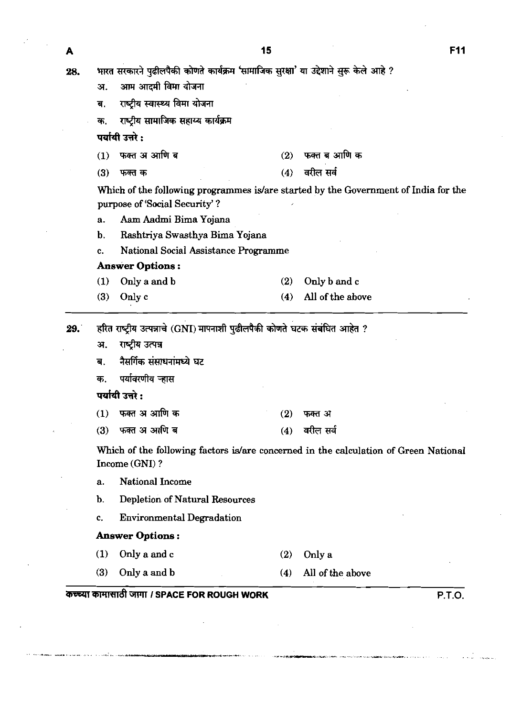15

भारत सरकारने पढीलपैकी कोणते कार्यक्रम 'सामाजिक सुरक्षा' या उद्देशाने सुरू केले आहे ? 28.

- आम आदमी विमा योजना अ.
- राष्ट्रीय स्वास्थ्य विमा योजना ब.
- राष्ट्रीय सामाजिक सहाय्य कार्यक्रम क.

पर्यायी उत्तरे :

- फक्त अ आणि ब फक्त ब आणि क  $(2)$  $(1)$
- वरील सर्व फक्त क  $(3)$  $(4)$

Which of the following programmes is/are started by the Government of India for the purpose of 'Social Security' ?

- a. **Aam** Aadmi Bima Yojana
- b. Rashtriya Swasthya Bima Yojana
- c. National Social Assistance Programme

#### **Answer Options** :

- (1) Only a and b (3) Only c (2) Only b and c (4) All of the abwe
- हरित राष्ट्रीय उत्पन्नाचे (GNI) मापनाशी पुढीलपैकी कोणते घटक संबंधित आहेत ? 29.
	- राष्ट्रीय उत्पन्न अ.
	- नैसर्गिक संसाधनांमध्ये घट ब.
	- पर्यावरणीय ऱ्हास क.

पर्यायी उत्तरे :

- $(1)$ फक्त अ आणि क  $(2)$ फक्त अ
- फक्त अ आणि ब  $(4)$  वरील सर्व  $(3)$

Which of the following factors is/are concerned in the calculation of Green National Income (GNI) ?

- a. National Income
- b. Depletion of Natural Resources
- c. Environmental Degradation

## **Answer Options** :

- (1) Onlyaandc (2) Only a
- (3) Only a and b  $(4)$  All of the above (1) Only a and b (2) Only a<br>
(3) Only a and b (4) All of the above<br> **THE ROUGH WORK** P.T.O.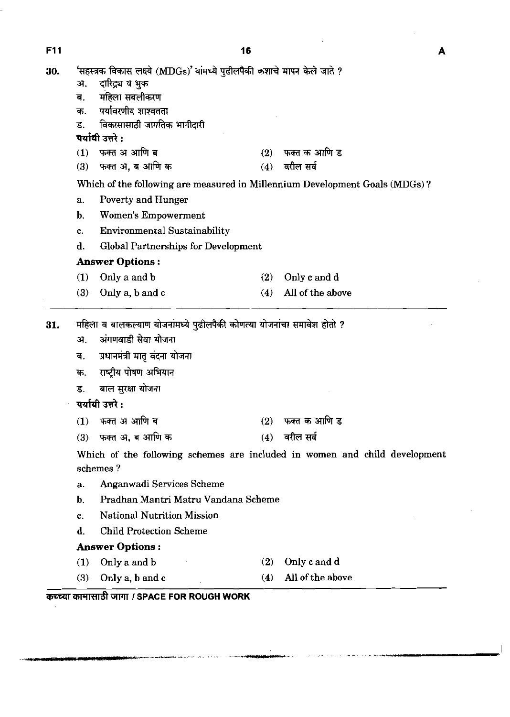**Fll 16** 

| 30. |                                    | 'सहस्त्रक विकास लक्ष्ये (MDGs)' यांमध्ये पुढीलपैकी कशाचे मापन केले जाते ?                                                                                 |            |                                                                                                         |  |  |  |  |
|-----|------------------------------------|-----------------------------------------------------------------------------------------------------------------------------------------------------------|------------|---------------------------------------------------------------------------------------------------------|--|--|--|--|
|     | अ.                                 | दारिद्र्य व भुक                                                                                                                                           |            |                                                                                                         |  |  |  |  |
|     | ब.<br>क.                           | महिला सबलीकरण<br>पर्यावरणीय शाश्वतता                                                                                                                      |            |                                                                                                         |  |  |  |  |
|     | ड.                                 | विकासासाठी जागतिक भागीदारी                                                                                                                                |            |                                                                                                         |  |  |  |  |
|     |                                    | पर्यायी उत्तरे :                                                                                                                                          |            |                                                                                                         |  |  |  |  |
|     | (1)                                | फक्त अ आणि ब                                                                                                                                              | (2)        | फक्त क आणि ड                                                                                            |  |  |  |  |
|     | (3)                                | फक्त अ, ब आणि क                                                                                                                                           | (4)        | वरील सर्व                                                                                               |  |  |  |  |
|     |                                    |                                                                                                                                                           |            | Which of the following are measured in Millennium Development Goals (MDGs)?                             |  |  |  |  |
|     | a.                                 | Poverty and Hunger                                                                                                                                        |            |                                                                                                         |  |  |  |  |
|     | b.                                 | Women's Empowerment                                                                                                                                       |            |                                                                                                         |  |  |  |  |
|     | c.                                 | <b>Environmental Sustainability</b>                                                                                                                       |            |                                                                                                         |  |  |  |  |
|     | d.                                 | Global Partnerships for Development                                                                                                                       |            |                                                                                                         |  |  |  |  |
|     |                                    | <b>Answer Options:</b>                                                                                                                                    |            |                                                                                                         |  |  |  |  |
|     | (1)                                | Only a and b                                                                                                                                              | (2)        | Only c and d                                                                                            |  |  |  |  |
|     | (3)                                | Only a, b and c                                                                                                                                           | (4)        | All of the above                                                                                        |  |  |  |  |
|     | अ.<br>ৰ.<br>क.<br>ड.<br>(1)<br>(3) | अंगणवाडी सेवा योजना<br>प्रधानमंत्री मातृ वंदना योजना<br>राष्ट्रीय पोषण अभियान<br>बाल सुरक्षा योजना<br>पर्यायी उत्तरे :<br>फक्त अ आणि ब<br>फक्त अ, ब आणि क | (2)<br>(4) | फक्त क आणि ड<br>वरील सर्व<br>Which of the following schemes are included in women and child development |  |  |  |  |
|     | schemes?                           |                                                                                                                                                           |            |                                                                                                         |  |  |  |  |
|     | а.                                 | Anganwadi Services Scheme                                                                                                                                 |            |                                                                                                         |  |  |  |  |
|     | b.                                 | Pradhan Mantri Matru Vandana Scheme                                                                                                                       |            |                                                                                                         |  |  |  |  |
|     | c.                                 | National Nutrition Mission                                                                                                                                |            |                                                                                                         |  |  |  |  |
|     | d,                                 | <b>Child Protection Scheme</b>                                                                                                                            |            |                                                                                                         |  |  |  |  |
|     |                                    | <b>Answer Options:</b>                                                                                                                                    |            |                                                                                                         |  |  |  |  |
|     | (1)                                | Only a and b                                                                                                                                              | (2)        | Only c and d                                                                                            |  |  |  |  |
|     | (3)                                | Only a, b and c                                                                                                                                           | (4)        | All of the above                                                                                        |  |  |  |  |

 $\boldsymbol{A}$ 

 $\overline{1}$ 

 $\hat{\mathcal{L}}$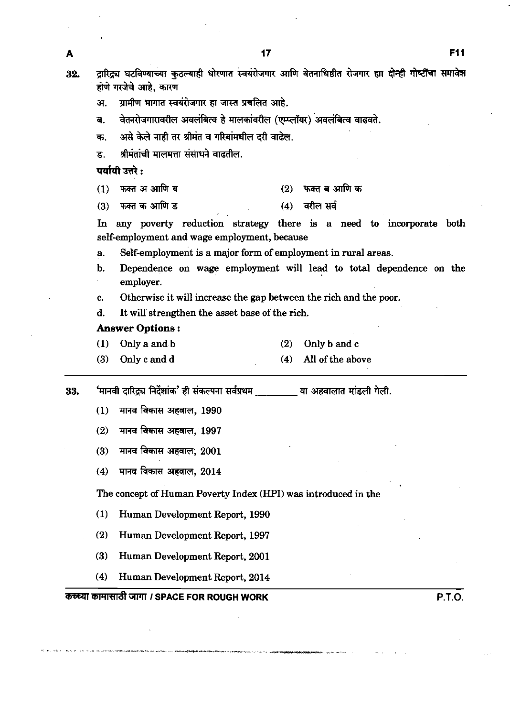दारिद्र्य घटविण्याच्या कुठल्याही धोरणात स्वयंरोजगार आणि वेतनाधिष्ठीत रोजगार ह्या दोन्ही गोष्टींचा समावेश 32. होणे गरजेचे आहे, कारण ग्रामीण भागात स्वयंरोजगार हा जास्त प्रचलित आहे. अ. वेतनरोजगारावरील अवलंबित्व हे मालकांवरील (एम्प्लॉयर) अवलंबित्व वाढवते. ब. असे केले नाही तर श्रीमंत व गरिबांमधील दरी वाढेल. क. श्रीमंतांची मालमत्ता संसाधने वाढतील. ड. पर्यायी उत्तरे :  $(1)$ फक्त अ आणि ब  $(2)$  फक्त ब आणि क  $(4)$  वरील सर्व फक्त क आणि ड  $(3)$ In any poverty reduction strategy there is a need to incorporate both self-employment and wage employment, because a. Self-employment is a major form of employment in rural areas. b. Dependence on wage employment will lead to **total** dependence on the employer. c. Otherwise it will increase the gap between the rich and the poor. d. It will strengthen the asset base of the rich. **Answer** Options : **(1)** Only a and b **(2)** Only b and c **(4)** All of the above **(3)** Only c and d 33. 'मानवी दारिद्र्य निर्देशांक' ही संकल्पना सर्वप्रथम \_\_\_\_\_\_\_\_\_\_\_\_\_\_या अहवालात मांडली गेली. मानव विकास अहवाल, 1990  $(1)$  $(2)$ मानव विकास अहवाल. 1997 मानव विकास अहवाल, 2001  $(3)$ **(4) m** WWi3, **<sup>2014</sup>** The concept of Human Poverty Index (HPI) was introduced in the **(1)** Human Development Report, **1990 (2)** Human Development Report, **1997 (3)** Human Development Report, **2001 (4)** Human Development Report, **2014 mmmnndtm** *I* **SPACE FOR ROUGH WORK P.T.O.** 

A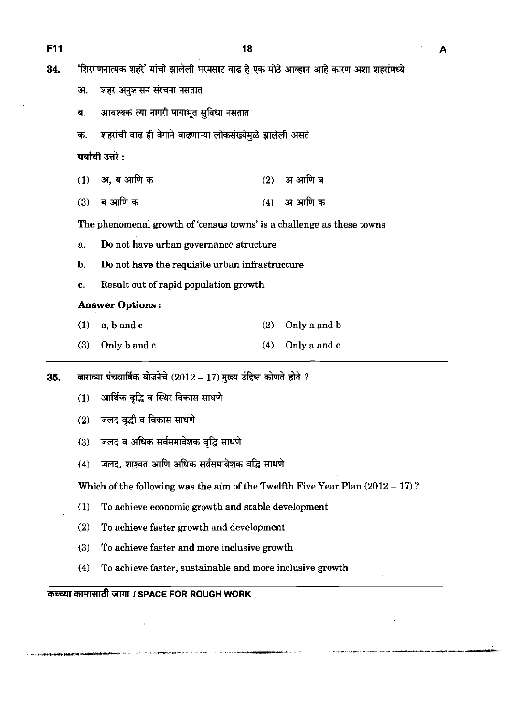**F11** 18

34. 'शिरगणनात्मक शहरे' यांची झालेली भरमसाट वाढ हे एक मोठे आव्हान आहे कारण अशा शहरांमध्ये

- 31. शहर अनुशासन संरचना नसतात
- ब. आवश्यक त्या नागरी पायाभूत सुविधा नसतात
- क. शहरांची वाढ ही वेगाने वाढणाऱ्या लोकसंख्येमळे झालेली असते

**पर्यायी उत्तरे:** 

- अ, ब आणि क अ आणि ब  $(1)$  $(2)$
- अ आणि क ब आणि क  $(3)$  $(4)$

The phenomenal growth of 'census towns' is a challenge as these towns

- a. Do not have urban governance structure
- b. Do not have the requisite urban infrastructure
- c. Result out of rapid population growth

# **Answer Options** :

- **(1)** a, b and c **(2)** Only a and b
- **(3)** Only b and c **(4)** Only a and c

 $35.$  बाराव्या पंचवार्षिक योजनेचे  $(2012-17)$  मुख्य उंद्दिष्ट कोणते होते ?

- (1) आर्थिक वृद्धि व स्थिर विकास साधणे
- (2) जलद वृद्धी व विकास साधणे
- (3) जलद व अधिक सर्वसमावेशक वृद्धि साधणे
- (4) जलद, शाश्वत आणि अधिक सर्वसमावेशक वद्धि साधणे

Which of the following was the aim of the Twelfth Five Year Plan  $(2012 - 17)$ ?

- **(1)** To achieve economic growth and stable development
- **(2)** To achieve faster growth and development
- **(3)** To achieve faster and more inclusive growth
- **(4)** To achieve faster, sustainable and more inclusive growth

# **कच्च्या कामासाठी जागा** *।* **SPACE FOR ROUGH WORK**

A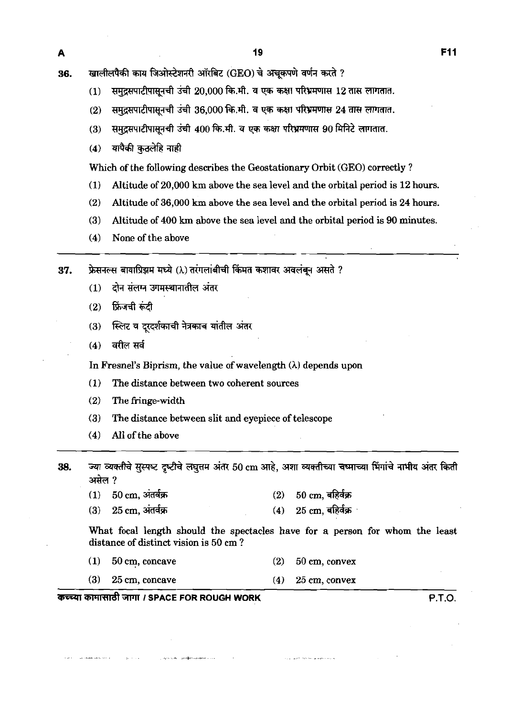खालीलपैकी काय जिओस्टेशनरी ऑरबिट (GEO) चे अचुकपणे वर्णन करते ? 36.

- समुद्रसपाटीपासूनची उंची 20,000 कि.मी. व एक कक्षा परिभ्रमणास 12 तास लागतात.  $(1)$
- समुद्रसपाटीपासूनची उंची 36,000 कि.मी. व एक कक्षा परिभ्रमणास 24 तास लागतात.  $(2)$
- समुद्रसपाटीपासूनची उंची 400 कि.मी. व एक कक्षा परिभ्रमणास 90 मिनिटे लागतात.  $(3)$
- यापैकी कुठलेहि नाही  $(4)$

Which of the following describes the Geostationary Orbit *(GEO)* correctly ?

- *(1)* Altitude of *20,000* km above the sea level and the orbital period is *12* hours.
- (2) Altitude of *36,000* km above the sea level and the orbital period is *24* hours.
- *(3)* Altitude of *400* **km** above the sea level and the orbital period is *90* minutes.
- *(4)* None of the above

फ्रेसनल्स बायाप्रिझम मध्ये ()) तरंगलांबीची किंमत कशावर अवलंबून असते ? 37.

- $(1)$ दोन संलग्न उगमस्थानातील अंतर
- फ्रिंजची रूटी  $(2)$
- स्लिट व दुरदर्शकाची नेत्रकाच यांतील अंतर  $(3)$
- वरील सर्व  $(4)$

In Fresnel's Biprism, the value of wavelength *(A)* depends upon

- *(1)* The distance between two coherent sources
- *(2)* The fringe-width
- *(3)* The distance between slit and eyepiece of telescope
- *(4)* All of the above
- ज्या व्यक्तीचे सुस्पष्ट दृष्टीचे लघुत्तम अंतर 50 cm आहे, अशा व्यक्तीच्या चष्माच्या भिंगांचे नाभीय अंतर किती 38. असेल ?
	- $(1)$  $50 \text{ cm}$ , अंतर्वक्र  $50 \text{ cm}$ , बहिर्वक्र  $(2)$
	- $25 \text{ cm}$ , बहिर्वक्र  $(3)$  $25 \text{ cm}$ , अंतर्वक्र  $(4)$

What focal length should the spectacles have for a person for whom the least distance of distinct vision is *50* em ?

- *(1) 50* cm, concave *(2) 50* cm, convex
- *(3) 25* cm, concave **(4)** *25* cm, convex

# कच्च्या कामासाठी जागा *।* SPACE FOR ROUGH WORK बच्चा कामासाठी हैं । अब प्रकार से प्रकार हैं । अब प्रकार हैं । अब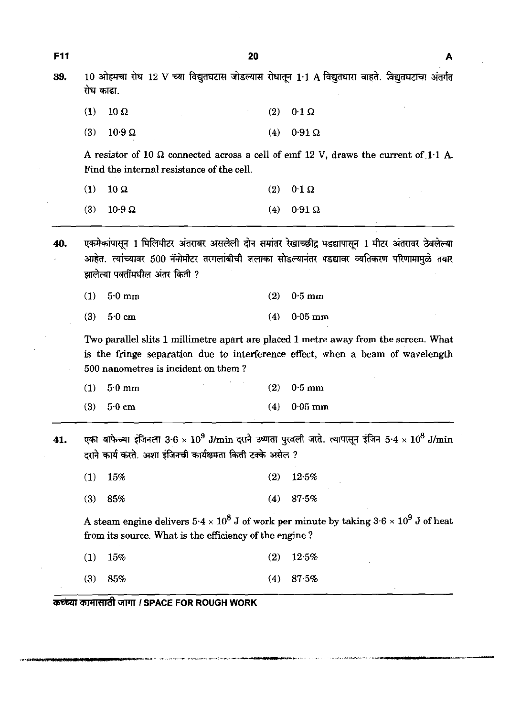| 39. | 10 ओहमचा रोध 12 V च्या विद्युतघटास जोडल्यास रोधातून 1·1 A विद्युतधारा वाहते. विद्युतघटाचा अंतर्गत<br>रोध काढा. |                                                             |     |                                                                                                                        |  |  |  |  |  |
|-----|----------------------------------------------------------------------------------------------------------------|-------------------------------------------------------------|-----|------------------------------------------------------------------------------------------------------------------------|--|--|--|--|--|
|     | (1)                                                                                                            | $10 \Omega$                                                 | (2) | $0.1 \Omega$                                                                                                           |  |  |  |  |  |
|     | (3)                                                                                                            | $10.9 \Omega$                                               | (4) | $0.91\Omega$                                                                                                           |  |  |  |  |  |
|     |                                                                                                                | Find the internal resistance of the cell.                   |     | A resistor of 10 $\Omega$ connected across a cell of emf 12 V, draws the current of 1.1 A.                             |  |  |  |  |  |
|     | (1)                                                                                                            | $10 \Omega$                                                 | (2) | $0.1 \Omega$                                                                                                           |  |  |  |  |  |
|     | (3)                                                                                                            | $10.9 \Omega$                                               | (4) | $0.91\ \Omega$                                                                                                         |  |  |  |  |  |
|     |                                                                                                                | झालेत्या पक्तींमधील अंतर किती ?                             |     | आहेत. त्यांच्यावर 500 नॅनोमीटर तरंगलांबीची शलाका सोडल्यानंतर पडद्यावर व्यतिकरण परिणामामुळे तयार                        |  |  |  |  |  |
|     |                                                                                                                | $(1)$ 5.0 mm                                                | (2) | $0.5 \text{ mm}$                                                                                                       |  |  |  |  |  |
|     | (3)                                                                                                            | 50cm                                                        | (4) | $0.05$ mm<br>Two parallel slits 1 millimetre apart are placed 1 metre away from the screen. What                       |  |  |  |  |  |
|     | (1)                                                                                                            | 500 nanometres is incident on them?<br>$5.0 \text{ mm}$     | (2) | is the fringe separation due to interference effect, when a beam of wavelength<br>$0.5$ mm                             |  |  |  |  |  |
|     | (3)                                                                                                            | $5.0 \text{ cm}$                                            | (4) | $0.05$ mm                                                                                                              |  |  |  |  |  |
| 41. |                                                                                                                | दराने कार्य करते. अशा इंजिनची कार्यक्षमता किती टक्के असेल ? |     | एका वाफेच्या इंजिनला $3\cdot 6\times 10^9$ J/min दराने उष्णता पुरवली जाते. त्यापासून इंजिन $5\cdot 4\times 10^8$ J/min |  |  |  |  |  |
|     | (1)                                                                                                            | 15%                                                         | (2) | 12.5%                                                                                                                  |  |  |  |  |  |
|     | (3)                                                                                                            | 85%                                                         | (4) | 87.5%                                                                                                                  |  |  |  |  |  |
|     |                                                                                                                | from its source. What is the efficiency of the engine?      |     | A steam engine delivers $5.4 \times 10^8$ J of work per minute by taking $3.6 \times 10^9$ J of heat                   |  |  |  |  |  |
|     | (1)                                                                                                            | 15%                                                         | (2) | 12.5%                                                                                                                  |  |  |  |  |  |

 $\frac{1}{2} \int_{\mathbb{R}^2} \frac{d\mu}{\mu} \, d\mu$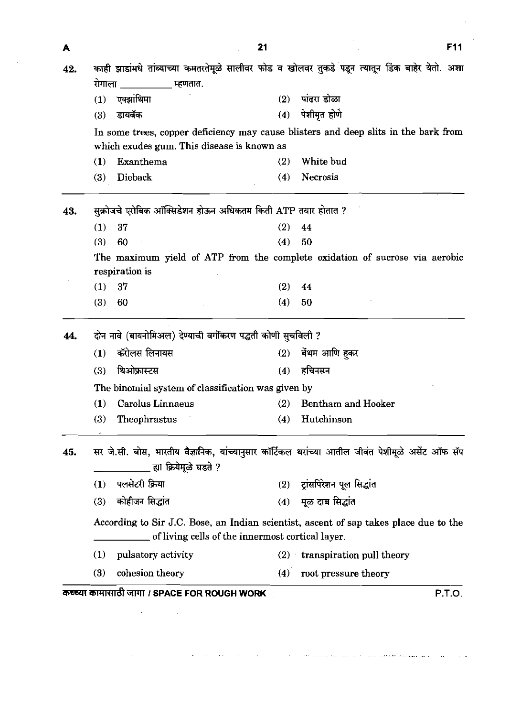| A   |                                                                                                                                           | 21         |                               | <b>F11</b> |
|-----|-------------------------------------------------------------------------------------------------------------------------------------------|------------|-------------------------------|------------|
| 42. | काही झाडांमधे तांब्याच्या कमतरतेमूळे सालीवर फोड व खोलवर तुकडे पडून त्यातून डिंक बाहेर येतो. अशा                                           |            |                               |            |
|     | रोगाला<br>्म्हणतात.                                                                                                                       |            |                               |            |
|     | एक्झांथिमा<br>(1)                                                                                                                         | (2)        | पांढरा डोळा                   |            |
|     | डायबॅक<br>(3)                                                                                                                             | (4)        | पेशीमृत होणे                  |            |
|     | In some trees, copper deficiency may cause blisters and deep slits in the bark from                                                       |            |                               |            |
|     | which exudes gum. This disease is known as                                                                                                |            |                               |            |
|     | Exanthema<br>(1)                                                                                                                          | (2)<br>(4) | White bud<br>Necrosis         |            |
|     | Dieback<br>(3)                                                                                                                            |            |                               |            |
| 43. | सुक्रोजचे एरोबिक ऑक्सिडेशन होऊन अधिकतम किती ATP तयार होतात ?                                                                              |            |                               |            |
|     | 37<br>(1)                                                                                                                                 | (2)        | 44                            |            |
|     | 60<br>(3)                                                                                                                                 |            | (4) 50                        |            |
|     | The maximum yield of ATP from the complete oxidation of sucrose via aerobic<br>respiration is                                             |            |                               |            |
|     | (1)<br>-37                                                                                                                                | (2)        | 44                            |            |
|     | 60<br>(3)                                                                                                                                 | (4)        | 50                            |            |
| 44. | दोन नावे (बायनोमिअल) देण्याची वर्गीकरण पद्धती कोणी सुचविली ?                                                                              |            |                               |            |
|     | कॅरोलस लिनायस<br>(1)                                                                                                                      | (2)        | बेंथम आणि हुकर                |            |
|     | थिओफ्रास्टस<br>(3)                                                                                                                        | (4)        | हचिनसन                        |            |
|     | The binomial system of classification was given by                                                                                        |            |                               |            |
|     | Carolus Linnaeus<br>(1)                                                                                                                   | (2)        | <b>Bentham and Hooker</b>     |            |
|     | Theophrastus<br>(3)                                                                                                                       | (4)        | Hutchinson                    |            |
| 45. | सर जे.सी. बोस, भारतीय वैज्ञानिक, यांच्यानुसार कॉर्टिकल थरांच्या आतील जीवंत पेशीमूळे असेंट ऑफ सॅप<br>्ह्या क्रियेमूळे घडते ?               |            |                               |            |
|     | पलसेटरी क्रिया<br>(1)                                                                                                                     |            | (2) ट्रांसपिरेशन पूल सिद्धांत |            |
|     | कोहीजन सिद्धांत<br>(3)                                                                                                                    | (4)        | मूळ दाब सिद्धांत              |            |
|     | According to Sir J.C. Bose, an Indian scientist, ascent of sap takes place due to the<br>of living cells of the innermost cortical layer. |            |                               |            |
|     | pulsatory activity<br>(1)                                                                                                                 |            | (2) transpiration pull theory |            |
|     | cohesion theory<br>(3)                                                                                                                    |            | (4) root pressure theory      |            |

 $\label{eq:convergence} \mathcal{L}(\mathcal{L}(\mathcal{L})) = \mathcal{L}(\mathcal{L}(\mathcal{L})) = \mathcal{L}(\mathcal{L}(\mathcal{L})) = \mathcal{L}(\mathcal{L}(\mathcal{L})) = \mathcal{L}(\mathcal{L}(\mathcal{L})) = \mathcal{L}(\mathcal{L}(\mathcal{L})) = \mathcal{L}(\mathcal{L}(\mathcal{L})) = \mathcal{L}(\mathcal{L}(\mathcal{L})) = \mathcal{L}(\mathcal{L}(\mathcal{L}(\mathcal{L}))) = \mathcal{L}(\mathcal{L}(\mathcal{L}(\mathcal{L}))) = \mathcal{L}(\math$ 

 $\sim 10^{11}$  and

 $\mathcal{L}(\mathcal{A})$  and  $\mathcal{L}(\mathcal{A})$  .

 $\mathcal{L}_{\mathcal{A}}$  and  $\mathcal{L}_{\mathcal{A}}$  are the set of the set of  $\mathcal{A}$  , and  $\mathcal{L}_{\mathcal{A}}$  are the set of  $\mathcal{A}$ 

 $\sim 10^{11}$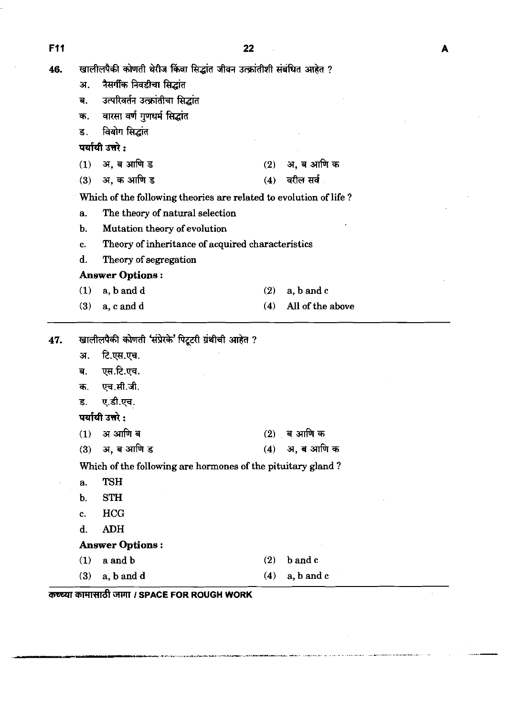**F11** 

 $\sim 10$ 

46. खालीलपैकी कोणती थेरीज किंवा सिद्धांत जीवन उत्क्रांतीशी संबंधित आहेत ?

|     | अ.          | नैसर्गीक निवडीचा सिद्धांत                                         |     |                  |
|-----|-------------|-------------------------------------------------------------------|-----|------------------|
|     | ब.          | उत्परिवर्तन उत्क्रांतीचा सिद्धांत                                 |     |                  |
|     | क.          | वारसा वर्ण गुणधर्म सिद्धांत                                       |     |                  |
|     | ड.          | वियोग सिद्धांत                                                    |     |                  |
|     |             | पर्यायी उत्तरे :                                                  |     |                  |
|     | (1)         | अ, ब आणि ड                                                        |     | (2) अ, ब आणि क   |
|     | $\cdot$ (3) | अ, क आणि ड                                                        | (4) | वरील सर्व .      |
|     |             | Which of the following theories are related to evolution of life? |     |                  |
|     | a.          | The theory of natural selection                                   |     |                  |
|     | b.          | Mutation theory of evolution                                      |     |                  |
|     | c.          | Theory of inheritance of acquired characteristics                 |     |                  |
|     | d.          | Theory of segregation                                             |     |                  |
|     |             | <b>Answer Options:</b>                                            |     |                  |
|     | (1)         | a, b and d                                                        | (2) | a, b and c       |
|     | (3)         | a, c and d                                                        | (4) | All of the above |
| 47. |             | खालीलपैकी कोणती 'संप्रेरके' पिटूटरी ग्रंथीची आहेत ?               |     |                  |
|     | अ.          | टि.एस.एच.                                                         |     |                  |
|     | ब.          | एस.टि.एच.                                                         |     |                  |
|     | क.          | एच.सी.जी.                                                         |     |                  |
|     | ड.          | ए.डी.एच.                                                          |     |                  |
|     |             | पर्यायी उत्तरे:                                                   |     |                  |
|     | (1)         | अ आणि ब                                                           | (2) | ब आणि क          |
|     | (3)         | अ, ब आणि ड                                                        | (4) | अ, ब आणि क       |
|     |             | Which of the following are hormones of the pituitary gland?       |     |                  |
|     | a.          | <b>TSH</b>                                                        |     |                  |
|     | b.          | <b>STH</b>                                                        |     |                  |
|     | c.          | <b>HCG</b>                                                        |     |                  |
|     | d.          | <b>ADH</b>                                                        |     |                  |
|     |             | <b>Answer Options:</b>                                            |     |                  |
|     | (1)         | a and b                                                           | (2) | b and c          |
|     | (3)         | a, b and d                                                        | (4) | a, b and c       |
|     |             | कच्च्या कामासाठी जागा / SPACE FOR ROUGH WORK                      |     |                  |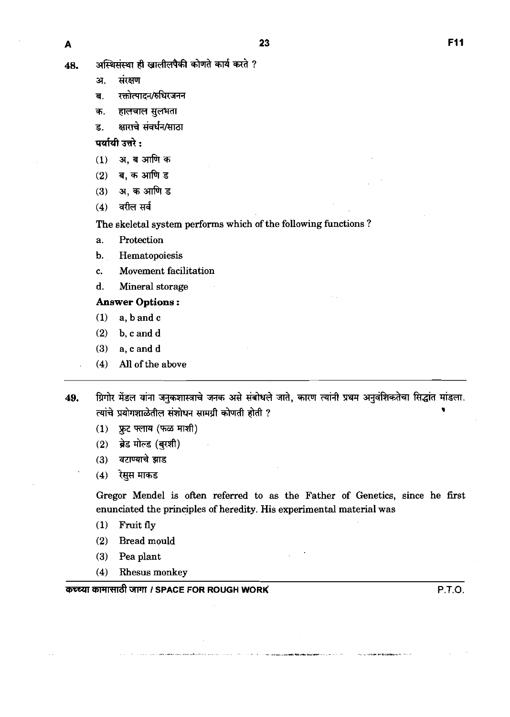**A**<br>48. अस्थिसंस्था ही खालीलपैकी कोणते कार्य करते ?<br>अ. संरक्षण

**ST.** 

- <mark>ब.</mark> रक्तोत्पादन/ अ. सरक्षण<br>ब. रक्तोत्पादन/रुधिरजनन<br>क. हालचाल-सुलभता<br>न भगाचे-यंतर्धन/मात्रा
- क. हालचाल सुलभता<br>ड. क्षाराचे संवर्धन/साठा
- 

पर्यायी उत्तरे :

- अ, ब आणि क  $(1)$
- ब. क आणि ड  $(2)$
- अ, क आणि ड  $(3)$
- वरील सर्व  $(4)$

The skeletal system performs which of the following functions ?

- a. Protection
- b. Hematopoiesis
- c. Movement facilitation
- d. Mineral storage

### Answer Options :

- **(1)** a, bandc
- **(2)** b, c and d
- **(3)** a, c and d
- **(4)** All of the above
- ग्रिगोर मेंडल यांना जनुकशास्त्राचे जनक असे संबोधले जाते, कारण त्यांनी प्रथम अनुवंशिकतेचा सिद्धांत मांडला. 49. त्यांचे प्रयोगशाळेतील संशोधन सामग्री कोणती होती ?
	- फ्रूट फ्लाय (फळ माशी)  $(1)$
	- ब्रेड मोल्ड (बुरशी)  $(2)$
	- वटाण्याचे झाड  $(3)$
	- रेसुस माकड  $(4)$

Gregor Mendel is often referred to as the Father of Genetics, since he first enunciated the principles of heredity. His experimental material was

- **(1)** Fruit fly
- **(2)** Bread mould
- **(3)** Pea plant
- **(4)** Rhesus monkey

**W€Wl** UWTRd **W7l'l I SPACE FOR ROUGH WORK'** P.T.O.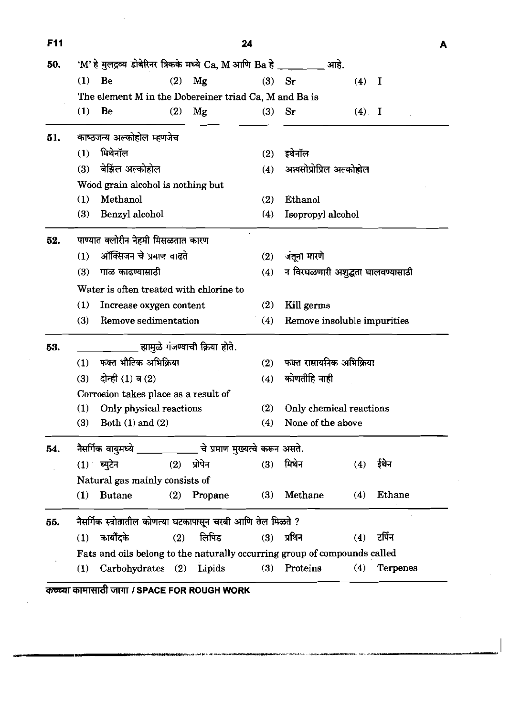| F <sub>11</sub> |     |                                                                           |     |                                 | 24         |                                   |         |                 | А |  |  |  |
|-----------------|-----|---------------------------------------------------------------------------|-----|---------------------------------|------------|-----------------------------------|---------|-----------------|---|--|--|--|
| 50.             |     | 'M' हे मुलद्रव्य डोबेरिनर त्रिकके मध्ये Ca, M आणि Ba हे _____ ___ आहे.    |     |                                 |            |                                   |         |                 |   |  |  |  |
|                 |     | $(1)$ Be                                                                  | (2) | Mg                              | (3)        | $S_{I}$                           | $(4)$ I |                 |   |  |  |  |
|                 |     | The element M in the Dobereiner triad Ca, M and Ba is                     |     |                                 |            |                                   |         |                 |   |  |  |  |
|                 | (1) | Be                                                                        | (2) | Mg                              | (3)        | $S_{I}$                           | $(4)$ I |                 |   |  |  |  |
| 51.             |     | काष्ठजन्य अल्कोहोल म्हणजेच                                                |     |                                 |            |                                   |         |                 |   |  |  |  |
|                 | (1) | मिथेनॉल                                                                   |     |                                 | (2)        | इथेनॉल                            |         |                 |   |  |  |  |
|                 | (3) | बेझिल अल्कोहोल                                                            |     |                                 | (4)        | आयसोप्रोप्रिल अल्कोहोल            |         |                 |   |  |  |  |
|                 |     | Wood grain alcohol is nothing but                                         |     |                                 |            |                                   |         |                 |   |  |  |  |
|                 | (1) | Methanol                                                                  |     |                                 | (2)        | Ethanol                           |         |                 |   |  |  |  |
|                 | (3) | Benzyl alcohol                                                            |     |                                 | (4)        | Isopropyl alcohol                 |         |                 |   |  |  |  |
| 52.             |     | पाण्यात क्लोरीन नेहमी मिसळतात कारण                                        |     |                                 |            |                                   |         |                 |   |  |  |  |
|                 | (1) | ऑक्सिजन चे प्रमाण वाढते                                                   |     |                                 | (2)        | जंतूना मारणे                      |         |                 |   |  |  |  |
|                 | (3) | गाळ काढण्यासाठी                                                           |     |                                 | (4)        | न विरघळणारी अशुद्धता घालवण्यासाठी |         |                 |   |  |  |  |
|                 |     | Water is often treated with chlorine to                                   |     |                                 |            |                                   |         |                 |   |  |  |  |
|                 | (1) | Increase oxygen content                                                   |     | (2)                             | Kill germs |                                   |         |                 |   |  |  |  |
|                 | (3) | Remove sedimentation                                                      |     |                                 | (4)        | Remove insoluble impurities       |         |                 |   |  |  |  |
| 53.             |     |                                                                           |     | ह्यामुळे गंजण्याची क्रिया होते. |            |                                   |         |                 |   |  |  |  |
|                 | (1) | फक्त भौतिक अभिक्रिया                                                      |     |                                 | (2)        | फक्त रासायनिक अभिक्रिया           |         |                 |   |  |  |  |
|                 | (3) | दोन्ही (1) व (2)                                                          |     |                                 | (4)        | कोणतीहि नाही                      |         |                 |   |  |  |  |
|                 |     | Corrosion takes place as a result of                                      |     |                                 |            |                                   |         |                 |   |  |  |  |
|                 | (1) | Only physical reactions                                                   |     |                                 | (2)        | Only chemical reactions           |         |                 |   |  |  |  |
|                 | (3) | Both $(1)$ and $(2)$                                                      |     |                                 | (4)        | None of the above                 |         |                 |   |  |  |  |
| 54.             |     | नैसर्गिक वायुमध्ये ____________ चे प्रमाण मुख्यत्वे करून असते.            |     |                                 |            |                                   |         |                 |   |  |  |  |
|                 |     | $(1)$ ब्युटेन                                                             |     | $(2)$ प्रोपेन                   |            | $(3)$ मिथेन                       |         | $(4)$ ईथेन      |   |  |  |  |
|                 |     | Natural gas mainly consists of                                            |     |                                 |            |                                   |         |                 |   |  |  |  |
|                 | (1) | Butane                                                                    | (2) | Propane                         | (3)        | Methane                           | (4)     | Ethane          |   |  |  |  |
| 55.             |     | नैसर्गिक स्त्रोतातील कोणत्या घटकापासून चरबी आणि तेल मिळते ?               |     |                                 |            |                                   |         |                 |   |  |  |  |
|                 |     | $(1)$ कार्बोंदके                                                          | (2) | लिपिड                           |            | $(3)$ प्रथिन                      | (4)     | टर्पिन          |   |  |  |  |
|                 |     | Fats and oils belong to the naturally occurring group of compounds called |     |                                 |            |                                   |         |                 |   |  |  |  |
|                 | (1) | Carbohydrates (2) Lipids                                                  |     |                                 |            | (3) Proteins                      | (4)     | <b>Terpenes</b> |   |  |  |  |

 $\mathbb{R}^2$ 

 $\frac{1}{2} \left( \frac{1}{2} \right)$ 

 $\hat{\mathcal{L}}$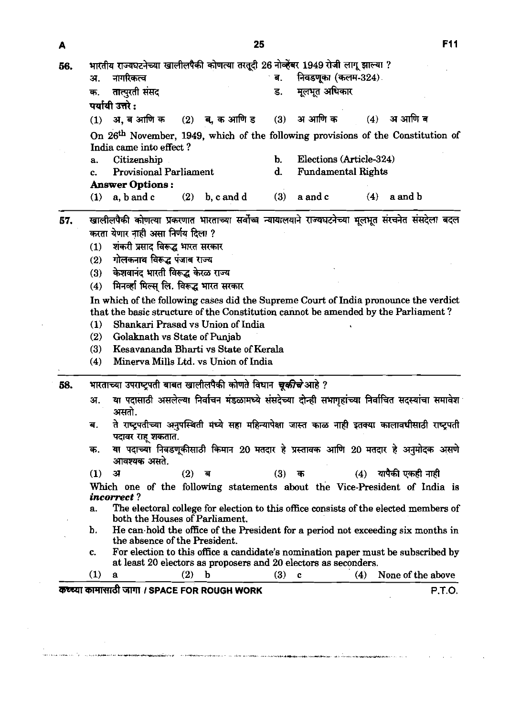|     | 25                                                                                                                                                                                                                                                                                                                                                                                                                                                                                 | F11 |
|-----|------------------------------------------------------------------------------------------------------------------------------------------------------------------------------------------------------------------------------------------------------------------------------------------------------------------------------------------------------------------------------------------------------------------------------------------------------------------------------------|-----|
| 56. | भारतीय राज्यघटनेच्या खालीलपैकी कोणत्या तरतूदी 26 नोव्हेंबर 1949 रोजी लागू झाल्या ?<br>निवडणूका (कलम-324)<br>नागरिकत्व<br>अ.                                                                                                                                                                                                                                                                                                                                                        |     |
|     | मूलभूत अधिकार<br>तात्पुरती संसद<br>ड.<br>क.<br>पर्यायी उत्तरे :                                                                                                                                                                                                                                                                                                                                                                                                                    |     |
|     | $(4)$ अआणि ब<br>अ आणि क<br>अ, ब आणि क<br>$(2)$ ब, क आणि ड<br>(3)<br>(1)                                                                                                                                                                                                                                                                                                                                                                                                            |     |
|     | On 26 <sup>th</sup> November, 1949, which of the following provisions of the Constitution of<br>India came into effect?<br>Elections (Article-324)<br>Citizenship<br><b>Provisional Parliament</b><br><b>Fundamental Rights</b><br><b>Answer Options:</b>                                                                                                                                                                                                                          |     |
|     | (3)<br>a and b<br>$(1)$ a, b and c<br>$(2)$ b, c and d<br>(4)<br>a and c                                                                                                                                                                                                                                                                                                                                                                                                           |     |
| 57. | खालीलपैकी कोणत्या प्रकरणात भारताच्या सर्वोच्च न्यायालयाने राज्यघटनेच्या मूलभूत संरचनेत संसदेला बदल<br>करता येणार नाही असा निर्णय दिला ?<br>शंकरी प्रसाद विरूद्ध भारत सरकार<br>गोलकनाथ विरूद्ध पंजाब राज्य<br>(2)<br>केशवानंद भारती विरूद्ध केरळ राज्य<br>मिनव्हा मिल्स् लि. विरूद्ध भारत सरकार<br>(4)<br>In which of the following cases did the Supreme Court of India pronounce the verdict<br>that the basic structure of the Constitution cannot be amended by the Parliament? |     |
|     | Shankari Prasad vs Union of India<br>Golaknath vs State of Punjab<br>(2)<br>Kesavananda Bharti vs State of Kerala<br>(3)<br>Minerva Mills Ltd. vs Union of India<br>(4)                                                                                                                                                                                                                                                                                                            |     |
| 58. | भारताच्या उपराष्ट्रपती बाबत खालीलपैकी कोणते विधान <i>चूकीचे</i> आहे ?                                                                                                                                                                                                                                                                                                                                                                                                              |     |
|     | या पदासाठी असलेल्या निर्वाचन मंडळामध्ये संसदेच्या दोन्ही सभागृहांच्या निर्वाचित सदस्यांचा समावेश<br>अ.<br>असतो.                                                                                                                                                                                                                                                                                                                                                                    |     |
|     | ते राष्ट्रपतीच्या अनुपस्थिती मध्ये सहा महिन्यापेक्षा जास्त काळ नाही इतक्या कालावधीसाठी राष्ट्रपती<br>ब.<br>पदावर राह शकतात.                                                                                                                                                                                                                                                                                                                                                        |     |
|     | ्या पदाच्या निवडणूकीसाठी किमान 20 मतदार हे प्रस्तावक आणि 20 मतदार हे अनुमोदक असणे<br>क.                                                                                                                                                                                                                                                                                                                                                                                            |     |
|     | आवश्यक असते.<br>यापैकी एकही नाही<br>$(2)$ ब<br>(3)<br>(1)<br>ा<br>(4)<br>क<br>Which one of the following statements about the Vice-President of India is                                                                                                                                                                                                                                                                                                                           |     |
|     | <i>incorrect?</i><br>The electoral college for election to this office consists of the elected members of<br>а.                                                                                                                                                                                                                                                                                                                                                                    |     |
|     | both the Houses of Parliament.<br>He can hold the office of the President for a period not exceeding six months in                                                                                                                                                                                                                                                                                                                                                                 |     |
|     | the absence of the President.<br>For election to this office a candidate's nomination paper must be subscribed by<br>C.<br>at least 20 electors as proposers and 20 electors as seconders.                                                                                                                                                                                                                                                                                         |     |

 $\label{eq:2.1} \frac{1}{2} \int_{\mathbb{R}^3} \left| \frac{d\mu}{d\mu} \right|^2 \, d\mu = \frac{1}{2} \int_{\mathbb{R}^3} \left| \frac{d\mu}{d\mu} \right|^2 \, d\mu = \frac{1}{2} \int_{\mathbb{R}^3} \left| \frac{d\mu}{d\mu} \right|^2 \, d\mu$ 

 $\left\langle \sigma\left( \sigma\right) \right\rangle$  for the continuous  $\left\langle \sigma\right\rangle =\left\langle \sigma\right\rangle$  , and the displace of one also

.<br>Agterije i državno plev

 $\mathcal{L}^{\text{max}}_{\text{max}}$  , where  $\mathcal{L}^{\text{max}}_{\text{max}}$ 

 $\mathcal{L}(\mathcal{A})$  and  $\mathcal{L}(\mathcal{A})$  and  $\mathcal{L}(\mathcal{A})$ 

 $\sim$   $\sim$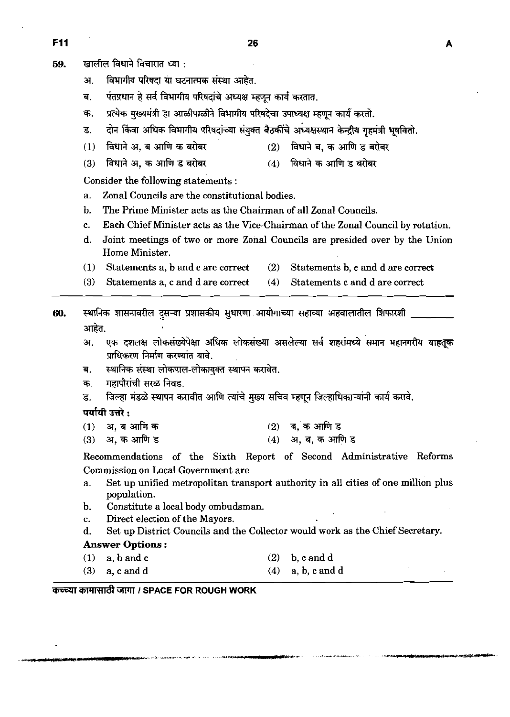- खालील विधाने विचारात ध्या : 59.
	- अ. विभागीय परिषदा या घटनात्मक संस्था आहेत.
	- पंतप्रधान हे सर्व विभागीय परिषदांचे अध्यक्ष म्हणून कार्य करतात. ब.
	- प्रत्येक मुख्यमंत्री हा आळीपाळीने विभागीय परिषदेचा उपाध्यक्ष म्हणून कार्य करतो. क.
	- दोन किंवा अधिक विभागीय परिषदांच्या संयुक्त बैठकींचे अध्यक्षस्थान केन्द्रीय गृहमंत्री भूषवितो. ड
	- विधाने अ, ब आणि क बरोबर  $(1)$  $(2)$
	- $(4)$  विधाने क आणि ड बरोबर विधाने अ. क आणि ड बरोबर  $(3)$

Consider the following statements :

- a. Zonal Councils are the constitutional bodies.
- b. The Prime Minister acts as the Chairman of all Zonal Councils.
- c. Each Chief Minister acts as the Vice-Chairman of the Zonal Council by rotation.
- d. Joint meetings of two or more Zonal Councils are presided over by the Union Home Minister.
- **(1)** Statements a, b and c are correct **(2)** Statements b, c and d are correct
- **(3)** Statements a, c and d are correct **(4)** Statements c and d are correct
- **so.** \*vrlwmh~m~-m~m **m.** 
	- अ. एक दशलक्ष लोकसंख्येपेक्षा अधिक लोकसंख्या असलेल्या सर्व शहरांमध्ये समान महानगरीय वाहतूक प्राधिकरण निर्माण करण्यांत यावे.
	- ब. स्थानिक संस्था लोकपाल-लोकायुक्त स्थापन करावेत.
	- क. महापौरांची सरळ निवड.
	- **s. जिल्हा मंडळे स्थापन करावीत आणि त्यांचे मुख्य सचिव म्हणून जिल्हाधिकाऱ्यांनी कार्य करावे.**

पर्यायी उत्तरे $\cdot$ 

- **(1) a,elfi\* (2) 7ii,\*fix**
- **(3) a,\*fis (4) a, 7ii, 3 fi** *s*

Recommendations of the Sixth Report of Second Administrative Reforms Commission on Local Government are

- a. Set up unified metropolitan transport authority in all cities of one million plus population.
- b. Constitute a local body ombudsman.
- c. Direct election of the Mayors.
- d. Set up District Councils and the Collector would work as the Chief Secretary.

# **Answer** Options :

- **(1)** a, b andc **(2)** b, c and d
- **(3)** a, c **and** d **(4)** a, b, c and d

कच्च्या कामासाठी जागा / SPACE FOR ROUGH WORK

A

विधाने ब, क आणि ड बरोबर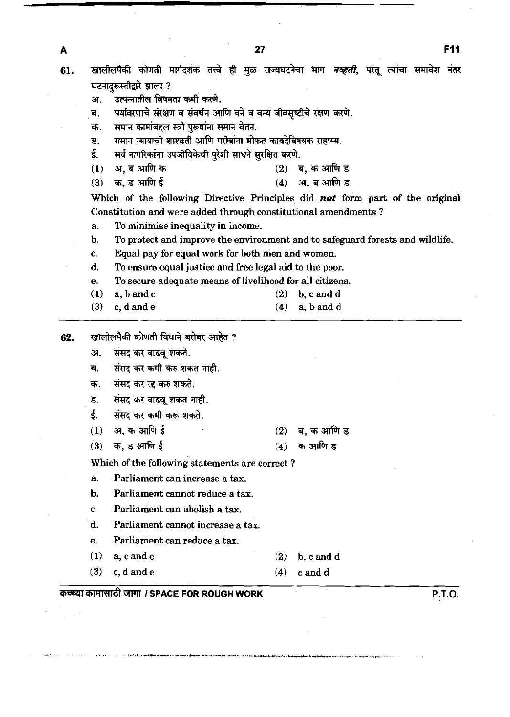खालीलपैकी कोणती मार्गदर्शक तत्त्वे ही मुळ राज्यघटनेचा भाग *नव्हती*, परंतू त्यांचा समावेश नंतर 61. घटनादरूस्तीद्वारे झाला ? अ. उत्पन्नातील विषमता कमी करणे. ब. पर्यावरणाचे संरक्षण व संवर्धन आणि वने व वन्य जीवसृष्टीचे रक्षण करणे. क. समान कामांबद्दल स्त्री पुरूषांना समान वेतन.<br>ड. समान न्यायाची शाश्वती आणि गरीबांना मोप ड. समान न्यायाची शाश्वती आणि गरीबांना मोफत कायदेविषयक सहाय्य*.*<br>ई. सर्व नागरिकांना उपजीविकेची परेशी साधने सुरक्षित करणे. **सर्व नागरिकांना उपजीविकेची पुरेशी साधने सुरक्षित करणे. (1) a, a आणि क** (2) **a, a आणि ड (3)** \*, **3 &if (4) a, B** &T **<sup>3</sup>** Which of the following Directive Principles did not form part of the original

Constitution and were added through constitutional amendments ?

- a. To minimise inequality in income.
- b. To protect and improve the environment and to safeguard forests and wildlife.
- c. Equal pay for equal work for both men and women.
- d. To ensure equal justice and free legal aid to the poor.
- e. To secure adequate means of livelihood for all citizens.
- **(1)** a, bandc **(2)** b, c and d
- **(3)** c, d and e **(4)** a, band d
- **62.** खालीलपैकी कोणती विधाने बरोबर आहेत ?
	- अ. संसद कर वाढवू शकते.
	- ब. संसद कर कमी करु शकत नाही.
	- क. संसद कर रद्द करु शकते.
	- **3. संसद कर वाढवू शकत नाही.**
	- ई. संसद कर कमी करू शकते.
	- **(1) 37,\*\*f (2) q,** \* & **<sup>s</sup>**
	- **(3) zf;,s&if (4) \*&3**
	- Which of the following statements are correct ?
	- a. Parliament can increase a tax.
	- b. Parliament cannot reduce a tax.
	- c. Parliament can abolish a tax.
	- d. Parliament cannot increase a tax.
	- e. Parliament can reduce a tax.
	- **(1)** a,cande **(2)** b, c and d
	- **(3)** c, d and e **(4)** candd

# **WWl** GWll **I SPACE FOR ROUGH WORK P.T.O.**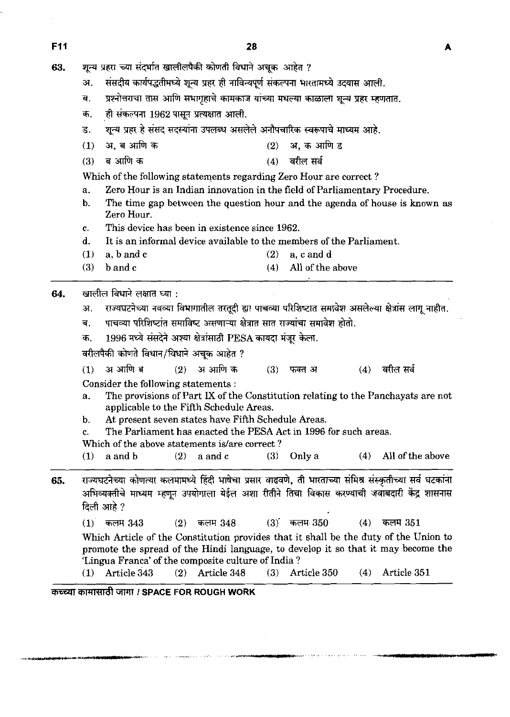शून्य प्रहरा च्या संदर्भात खालीलपैकी कोणती विधाने अचुक आहेत ? 63.

- संसदीय कार्यपद्धतीमध्ये शून्य प्रहर ही नाविन्यपूर्ण संकल्पना भारतामध्ये उदयास आली. अ.
- प्रश्नोत्तराचा तास आणि सभागृहाचे कामकाज यांच्या मधल्या काळाला शून्य प्रहर म्हणतात.  $\overline{\mathbf{d}}$ .
- ही संकल्पना 1962 पासून प्रत्यक्षात आली. क.
- शून्य प्रहर हे संसद सदस्यांना उपलब्ध असलेले अनौपचारिक स्वरूपाचे माध्यम आहे. ड.
- अ. ब आणि क अ. क आणि ड  $(1)$  $(2)$
- $(3)$ ब आणि क  $(4)$ वरील सर्व

Which of the following statements regarding Zero Hour are correct ?

- a. Zero Hour is an Indian innovation in the field of Parliamentary Procedure.
- b. The time gap between the question hour and the agenda of house is known as Zero Hour.
- c. This device has been in existence since **1962.**
- d. It is an informal device available to the members of the Parliament.
- **(1)** a, band c **(2) a,** c and d
- **(3)** b and c **(4)** All of the above

#### खालील विधाने लक्षात घ्या : 64.

- अ. राज्यघटनेच्या नवव्या विभागातील तरतूदी ह्या पाचव्या परिशिष्टात समावेश असलेल्या क्षेत्रांस लागू नाहीत.
- पाचव्या परिशिष्टांत समाविष्ट असणाऱ्या क्षेत्रात सात राज्यांचा समावेश होतो. ब.
- 1996 मध्ये संसदेने अश्या क्षेत्रांसाठी PESA कायदा मंजूर केला. क.

वरीलपैकी कोणते विधान/विधाने अचुक आहेत ?

अ आणि ब अ आणि क  $(1)$  $(2)$ वरील सर्व  $(3)$ फक्त अ  $(4)$ 

Consider the following statements :

- a. The provisions of Part **IX** of the Constitution relating to the Panchayats are not applicable to the Fifth Schedule Areas.
- b. At present seven states have Fifth Schedule Areas.

c. The Parliament has enacted the PESA Act in **1996** for such areas.

- Which of the above statements is/are correct?
- (1)  $\alpha$  and  $\beta$  **(2)**  $\alpha$  and  $\alpha$  **(3)**  $\alpha$  Only  $\alpha$  **(4) All of the above**
- 65. राज्यघटनेच्या कोणत्या कलमामध्ये हिंदी भाषेचा प्रसार वाढवणे, ती भारताच्या संमिश्र संस्कृतीच्या सर्व घटकांना अभिव्यक्तीचे माध्यम म्हणून उपयोगाला येईल अशा रीतीने तिचा विकास करण्याची जवाबदारी केंद्र शासनास **दिली आहे** ?
	- ।दला आह*़।*<br>(1) कलम 343 (2) कलम 348 (3) कलम 350 (4) कल<mark>म</mark> 351
	- Which Article of the Constitution provides that it shall be the duty of the Union to promote the spread of the Hindi language, to develop it so that it may become the 'Lingua Franca' of the composite culture of India ?<br>(1)  $\text{Article } 343$  (2)  $\text{Article } 348$  (3) Ar
	- **(1)** Article **343 (2)** Article **348 (3)** Article **350 (4)** Article **351**

**WIWFd** GWTI **1 SPACE FOR ROUGH WORK**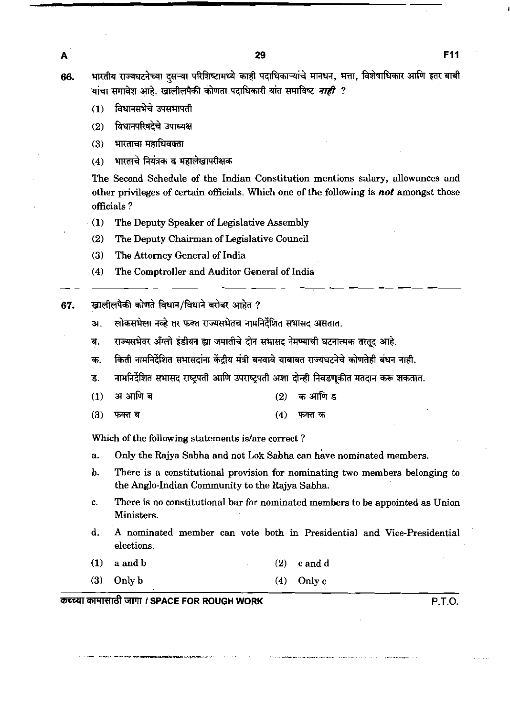29

भारतीय राज्यघटनेच्या दसऱ्या परिशिष्टामध्ये काही पदाधिकाऱ्यांचे मानधन, भत्ता, विशेषाधिकार आणि इतर बाबी 66. यांचा समावेश आहे. खालीलपैकी कोणता पदाधिकारी यांत समाविष्ट *नाही ?* 

विधानसभेचे उपसभापती  $(1)$ 

विधानपरिषदेचे उपाध्यक्ष  $(2)$ 

भारताचा महाधिवक्ता  $(3)$ 

भारताचे नियंत्रक व महालेखापरीक्षक  $(4)$ 

The Second Schedule of the Indian Constitution mentions salary, allowances and other privileges of certain officials. Which one of the following is **not** amongst those officials ?

- (1) The Deputy Speaker of Legislative Assembly
- **(2)** The Deputy Chairman of Legislative Council
- (3) The Attorney General of India
- (4) The Comptroller and Auditor General of India
- खालीलपैकी कोणते विधान/विधाने बरोबर आहेत ? 67.
	- लोकसभेला नव्हे तर फक्त राज्यसभेतच नामनिर्देशित सभासद असतात. अ.
	- राज्यसभेवर अँग्लो इंडीयन ह्या जमातीचे दोन सभासद नेमण्याची घटनात्मक तरतद आहे. .बं
	- किती नामनिर्देशित सभासदांना केंद्रीय मंत्री बनवावे याबाबत राज्यघटनेचे कोणतेही बंधन नाही. क.
	- नामनिर्देशित सभासद राष्ट्रपती आणि उपराष्ट्रपती अशा दोन्ही निवडणुकीत मतदान करू शकतात. ड.
	- अ आणि ब क आणि ड  $(1)$  $(2)$
	- $(3)$ फक्त ब  $(4)$ फक्त क

Which of the following statements is/are correct?

- a. Only the Rajya Sabha and not **Lok** Sabha.can have nominated members.
- b. There is a constitutional provision for nominating two members belonging to the Anglo-Indian Community to the Rajya Sabha.
- c. There is no constitutional bar for nominated members to be appointed as Union Ministers.
- d. A nominated member can vote both in Presidential and Vice-Presidential elections.
- (1) a and b (2) c and **<sup>d</sup>**
- (3) Only b (4) Only c

-VR'IW&W **I SPACE FOR ROUGH WORK P.T.O.** 

A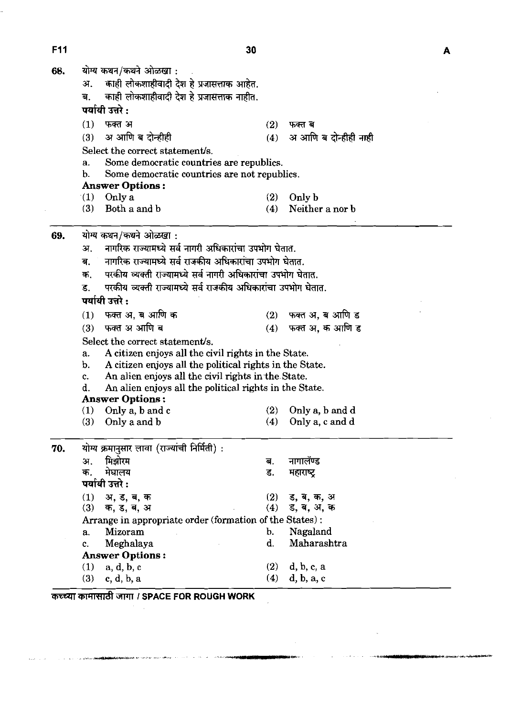F11

 $\mathbf{A}$ 

| 68. |                                                                     | योग्य कथन/कथने ओळखा :                                                                                                    |                |                       |  |  |  |  |  |  |  |  |
|-----|---------------------------------------------------------------------|--------------------------------------------------------------------------------------------------------------------------|----------------|-----------------------|--|--|--|--|--|--|--|--|
|     | काही लोकशाहीवादी देश हे प्रजासत्ताक आहेत.<br>अ.                     |                                                                                                                          |                |                       |  |  |  |  |  |  |  |  |
|     | काही लोकशाहीवादी देश हे प्रजासत्ताक नाहीत.<br>ब.                    |                                                                                                                          |                |                       |  |  |  |  |  |  |  |  |
|     | पर्यायी उत्तरे :                                                    |                                                                                                                          |                |                       |  |  |  |  |  |  |  |  |
|     | (1)                                                                 | फक्त अ                                                                                                                   | (2)            | फक्त ब                |  |  |  |  |  |  |  |  |
|     | (3)                                                                 | अ आणि ब दोन्हीही                                                                                                         | (4)            | अ आणि ब दोन्हीही नाही |  |  |  |  |  |  |  |  |
|     | Select the correct statement/s.                                     |                                                                                                                          |                |                       |  |  |  |  |  |  |  |  |
|     | a.                                                                  | Some democratic countries are republics.                                                                                 |                |                       |  |  |  |  |  |  |  |  |
|     | b.                                                                  | Some democratic countries are not republics.                                                                             |                |                       |  |  |  |  |  |  |  |  |
|     |                                                                     | <b>Answer Options:</b>                                                                                                   |                |                       |  |  |  |  |  |  |  |  |
|     | (1)                                                                 | Only a                                                                                                                   | (2)            | Only b                |  |  |  |  |  |  |  |  |
|     | (3)                                                                 | Both a and b                                                                                                             | (4)            | Neither a nor b       |  |  |  |  |  |  |  |  |
| 69. |                                                                     | योग्य कथन/कथने ओळखा :                                                                                                    |                |                       |  |  |  |  |  |  |  |  |
|     | ЭТ.                                                                 | नागरिक राज्यामध्ये सर्व नागरी अधिकारांचा उपभोग घेतात.                                                                    |                |                       |  |  |  |  |  |  |  |  |
|     | ब.                                                                  | नागरिक राज्यामध्ये सर्व राजकीय अधिकारांचा उपभोग घेतात.                                                                   |                |                       |  |  |  |  |  |  |  |  |
|     | क.                                                                  | परकीय व्यक्ती राज्यामध्ये सर्व नागरी अधिकारांचा उपभोग घेतात.                                                             |                |                       |  |  |  |  |  |  |  |  |
|     | परकीय व्यक्ती राज्यामध्ये सर्व राजकीय अधिकारांचा उपभोग घेतात.<br>ड. |                                                                                                                          |                |                       |  |  |  |  |  |  |  |  |
|     | पर्यायी उत्तरे :                                                    |                                                                                                                          |                |                       |  |  |  |  |  |  |  |  |
|     |                                                                     | फक्त अ, ब आणि क                                                                                                          |                |                       |  |  |  |  |  |  |  |  |
|     | (1)                                                                 | फक्त अ आणि ब                                                                                                             |                | $(2)$ फक्त अ, ब आणि ड |  |  |  |  |  |  |  |  |
|     | (3)                                                                 |                                                                                                                          | (4)            | फक्त अ, क आणि ड       |  |  |  |  |  |  |  |  |
|     |                                                                     | Select the correct statement/s.                                                                                          |                |                       |  |  |  |  |  |  |  |  |
|     | a.                                                                  | A citizen enjoys all the civil rights in the State.                                                                      |                |                       |  |  |  |  |  |  |  |  |
|     |                                                                     | A citizen enjoys all the political rights in the State.<br>b.                                                            |                |                       |  |  |  |  |  |  |  |  |
|     |                                                                     | An alien enjoys all the civil rights in the State.<br>c.<br>d.<br>An alien enjoys all the political rights in the State. |                |                       |  |  |  |  |  |  |  |  |
|     | <b>Answer Options:</b>                                              |                                                                                                                          |                |                       |  |  |  |  |  |  |  |  |
|     | (1)                                                                 | Only a, b and c                                                                                                          | (2)            | Only a, b and d       |  |  |  |  |  |  |  |  |
|     | (3)                                                                 | Only a and b                                                                                                             | (4)            | Only a, c and d       |  |  |  |  |  |  |  |  |
| 70. | योग्य क्रमानुसार लावा (राज्यांची निर्मिती) :                        |                                                                                                                          |                |                       |  |  |  |  |  |  |  |  |
|     | अ.                                                                  | मिझोरम                                                                                                                   | ब.             | नागालॅण्ड             |  |  |  |  |  |  |  |  |
|     | क.                                                                  | मेघालय                                                                                                                   | ड.             | महाराष्ट्र            |  |  |  |  |  |  |  |  |
|     | पर्यायी उत्तरे:                                                     |                                                                                                                          |                |                       |  |  |  |  |  |  |  |  |
|     | (1)                                                                 | अ, ड, ब, क                                                                                                               | (2)            | ड, ब, क, अ            |  |  |  |  |  |  |  |  |
|     | (3)                                                                 | (4)<br>ड, ब, अ, क<br>क, ड, ब, अ                                                                                          |                |                       |  |  |  |  |  |  |  |  |
|     |                                                                     | Arrange in appropriate order (formation of the States):                                                                  |                |                       |  |  |  |  |  |  |  |  |
|     | a.                                                                  | Mizoram                                                                                                                  | $\mathbf{b}$ . | Nagaland              |  |  |  |  |  |  |  |  |
|     | c.                                                                  | Meghalaya                                                                                                                | d.             | Maharashtra           |  |  |  |  |  |  |  |  |
|     |                                                                     | <b>Answer Options:</b>                                                                                                   |                |                       |  |  |  |  |  |  |  |  |
|     | (1)                                                                 | a, d, b, c                                                                                                               |                | $(2)$ d, b, c, a      |  |  |  |  |  |  |  |  |
|     | (3)                                                                 | c, d, b, a                                                                                                               | (4)            | d, b, a, c            |  |  |  |  |  |  |  |  |

 $\frac{1}{2}$ 

 $\mathcal{L}$ 

 $\sim$ 

W3XiTmmr;rrrdtri~mr **I SPACE FOR ROUGH WORK** 

 $\hat{\mathcal{A}}$ 

**AND REAL ESTATE AND LEAST SHOW AND STATES** 

**Contract of the spot of the particular** 

 $\omega \rightarrow \omega$ J. .<br>Sekolare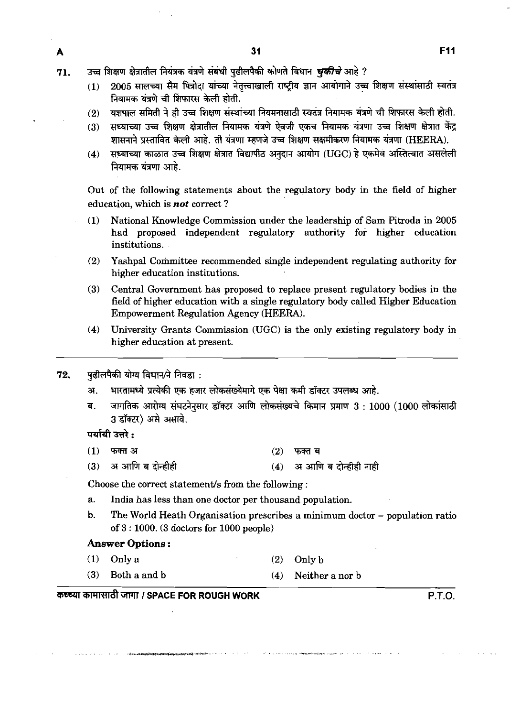- उच्च शिक्षण क्षेत्रातील नियंत्रक यंत्रणे संबंधी पढीलपैकी कोणते विधान *चकीचे* आहे ? 71.
	- 2005 सालच्या सैम पित्रोदा यांच्या नेतृत्त्वाखाली राष्ट्रीय ज्ञान आयोगाने उच्च शिक्षण संस्थांसाठी स्वतंत्र  $(1)$ नियामक यंत्रणे ची शिफारस केली होती.
	- यशपाल समिती ने ही उच्च शिक्षण संस्थांच्या नियमनासाठी स्वतंत्र नियामक यंत्रणे ची शिफारस केली होती.  $(2)$
	- सध्याच्या उच्च शिक्षण क्षेत्रातील नियामक यंत्रणे ऐवजी एकच नियामक यंत्रणा उच्च शिक्षण क्षेत्रात केंद्र  $(3)$ शासनाने प्रस्तावित केली आहे. ती यंत्रणा म्हणजे उच्च शिक्षण सक्षमीकरण नियामक यंत्रणा (HEERA).
	- सध्याच्या काळात उच्च शिक्षण क्षेत्रात विद्यापीठ अनुदान आयोग (UGC) हे एकमेव अस्तित्वात असलेली  $(4)$ नियामक यंत्रणा आहे.

Out of the following statements about the regulatory body in the field of higher education, which is not correct ?

- (1) National Knowledge Commission under the leadership of Sam Pitroda in 2005 had proposed independent regulatory authority for higher education institutions.
- (2) Yashpal Committee recommended single independent regulating authority for higher education institutions.
- (3) Central Government has proposed to replace present regulatory bodies in the field of higher education with a single regulatory body called Higher Education Empowerment Regulation Agency (HEERA).
- **(4)** University Grants Commission (UGC) is the only existing regulatory body in higher education at present.
- पढीलपैकी योग्य विधान/ने निवड़ा : 72.
	- भारतामध्ये प्रत्येकी एक हजार लोकसंख्येमागे एक पेक्षा कमी डॉक्टर उपलब्ध आहे. अ.
	- जागतिक आरोग्य संघटनेनसार डॉक्टर आणि लोकसंख्यचे किमान प्रमाण 3: 1000 (1000 लोकांसाठी ब. 3 डॉक्टर) असे असावे.

पर्यायी उत्तरे :

A

- $(1)$ फक्त अ  $(2)$ फक्त ब
- अ आणि ब दोन्हीही अ आणि ब दोन्हीही नाही  $(3)$  $(4)$

Choose the correct statement/s from the following :

- a. India has less than one doctor per thousand population.
- b. The World Heath Organisation prescribes a minimum doctor population ratio of 3 : 1000. (3 doctors for 1000 people)

# Answer Options :

- (1) Only a (2) Only b
- (3) Both a and b (4) Neither a nor b

# *ajRRd* **w I SPACE FOR ROUGH WORK P.T.O.**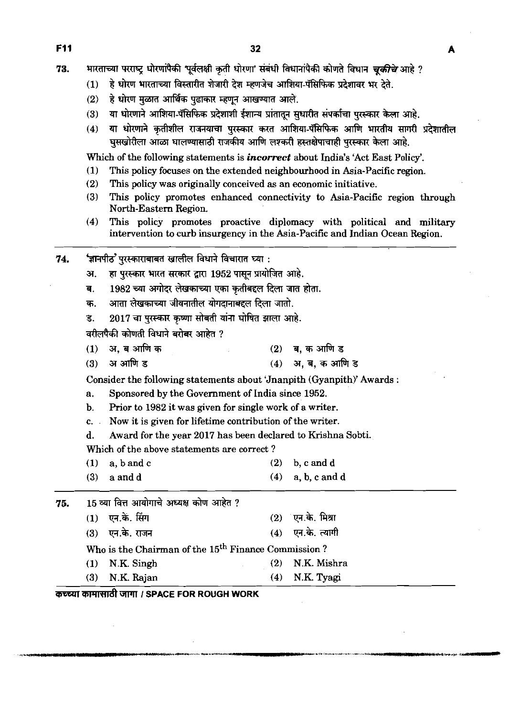**Fll 32** 

74.

भारताच्या परराष्ट्र धोरणांपैकी 'पूर्वलक्षी कृती धोरणा' संबंधी विधानांपैकी कोणते विधान *चकीचे* आहे ? 73.

- हे धोरण भारताच्या विस्तारीत शेजारी देश म्हणजेच आशिया-पॅसिफिक प्रदेशावर भर देते.  $(1)$
- हे धोरण मूळात आर्थिक पढाकार म्हणून आखण्यात आले.  $(2)$

'ज्ञानपीठ' पुरस्काराबाबत खालील विधाने विचारात घ्या :

- या धोरणाने आशिया-पॅसिफिक प्रदेशाशी ईशान्य प्रांतातून सुधारीत संपर्काचा पुरस्कार केला आहे.  $(3)$
- या धोरणाने कतीशील राजनयाचा परस्कार करत आशिया-पॅसिफिक आणि भारतीय सागरी प्रदेशातील  $(4)$ घुसखोरीला आळा घालण्यासाठी राजकीय आणि लश्करी हस्तक्षेपाचाही पुरस्कार केला आहे.

Which of the following statements is **incorrect** about India's 'Act East Policy'.

- **(1)** This policy focuses on the extended neighbourhood in Asia-Pacific region.
- **(2)** This policy was originally conceived as an economic initiative.
- **(3)** This policy promotes enhanced connectivity to Asia-Pacific region through North-Eastern Region.
- **(4)** This policy promotes proactive diplomacy with political and military intervention to curb insurgency in the Asia-Pacific and Indian Ocean Region.

हा पुरस्कार भारत सरकार द्वारा 1952 पासून प्रायोजित आहे. अ. 1982 च्या अगोदर लेखकाच्या एका कृतीबद्दल दिला जात होता. ब. आता लेखकाच्या जीवनातील योगदानाबद्दल दिला जातो. क. 2017 चा पुरस्कार कृष्णा सोबती यांना घोषित झाला आहे. ड. वरीलपैकी कोणती विधाने बरोबर आहेत ? अ. ब आणि क  $(2)$ ब. क आणि ड  $(1)$ अ आणि ड (4) अ. ब. क आणि ड  $(3)$ Consider the following statements about 'Jnanpith (Gyanpith)' Awards : a. Sponsored by the Government of India since **1952**  b. Prior to **1982** it was given for single work of a writer. c. . Now it is given for lifetime contribution of the writer. d. Award for the year **2017** has been declared to Krishna Sobti. Which of the above statements are correct ? **(1)** a,bandc **(2)** b, c and d **(3)** a and d **(4)** a, b, c and d 15 व्या वित्त आयोगाचे अध्यक्ष कोण आहेत ? 75.  $(2)$  एन के. मिश्रा  $(1)$ एन.के. सिंग एन.के. त्यागी एन.के. राजन  $(4)$  $(3)$ 

Who is the Chairman of the 15<sup>th</sup> Finance Commission?

- **(1)** N.K. Singh **(2)** N.K. Mishra
- **(3)** N.K. Rajan **(4)** N.K. Tyagi

 $\overline{\textbf{w}}$   $\overline{\textbf{w}}$  $\overline{\textbf{w}}$  **<b>***I*  $\overline{\textbf{w}}$  *I*  $\overline{\textbf{w}}$  *I*  $\overline{\textbf{w}}$  *I*  $\overline{\textbf{w}}$  *I*  $\overline{\textbf{w}}$  *I*  $\overline{\textbf{w}}$  *I*  $\overline{\textbf{w}}$  *I*  $\overline{\textbf{w}}$  *I*  $\overline{\textbf{w}}$  *I*  $\overline{\textbf{w}}$  *I* 

A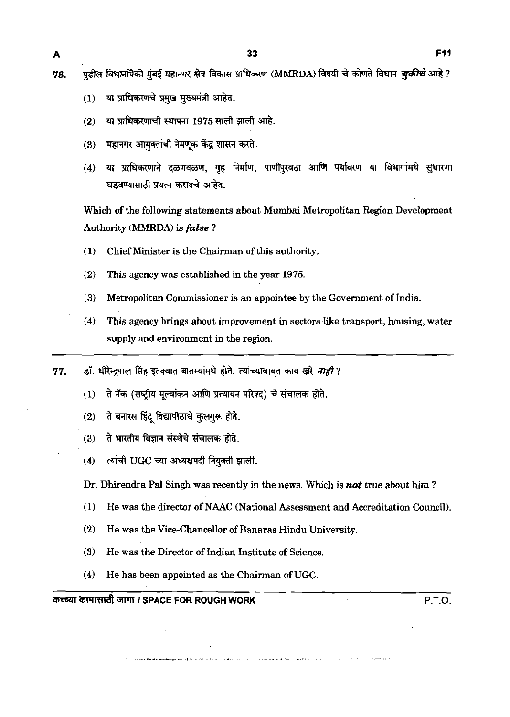पढील विधानांपैकी मंबई महानगर क्षेत्र विकास प्राधिकरण (MMRDA) विषयी चे कोणते विधान *चुकीचे* आहे ? 76.

- या प्राधिकरणचे प्रमुख मुख्यमंत्री आहेत.  $(1)$
- या प्राधिकरणाची स्थापना 1975 साली झाली आहे.  $(2)$
- महानगर आयुक्तांची नेमणूक केंद्र शासन करते.  $(3)$
- या प्राधिकरणाने दळणवळण, गृह निर्माण, पाणीपुरवठा आणि पर्यावरण या विभागांमधे सुधारणा  $(4)$ घडवण्यासाठी प्रयत्न करायचे आहेत.

Which of the following statements about Mumbai Metropolitan Region Development Authority **(MMRDA)** is false ?

- **(1)** Chief Minister is the Chairman of this authority.
- **(2)** This agency was established in the year 1975.
- **(3)** Metropolitan Commissioner is an appointee by the Government of India.
- (4) This agency brings about improvement in sectors like transport, housing, water supply and environment in the region.
- डॉ. धीरेन्द्रपाल सिंह इतक्यात बातम्यांमधे होते. त्यांच्याबाबत काय खरे *नाही* ? 77.
	- ते नॅक (राष्ट्रीय मूल्यांकन आणि प्रत्यायन परिषद) चे संचालक होते.  $(1)$
	- ते बनारस हिंद विद्यापीठाचे कुलगुरू होते.  $(2)$
	- ते भारतीय विज्ञान संस्थेचे संचालक होते.  $(3)$
	- त्यांची UGC च्या अध्यक्षपदी नियुक्ती झाली.  $(4)$
	- Dr. Dhirendra Pal Singh was recently in the news. Which is **not** true about him ?
	- (1) He was the director of NAAC (National Assessment and Accreditation Council).
	- **(2)** He was the Vice-Chancellor of Banaras Hindu University.
	- **(3)** He was the Director of Indian Institute of Science.
	- **(4)** He has been appointed as the Chairman of UGC.

aT4Rd **I SPACE FOR ROUGH WORK** P.T.O.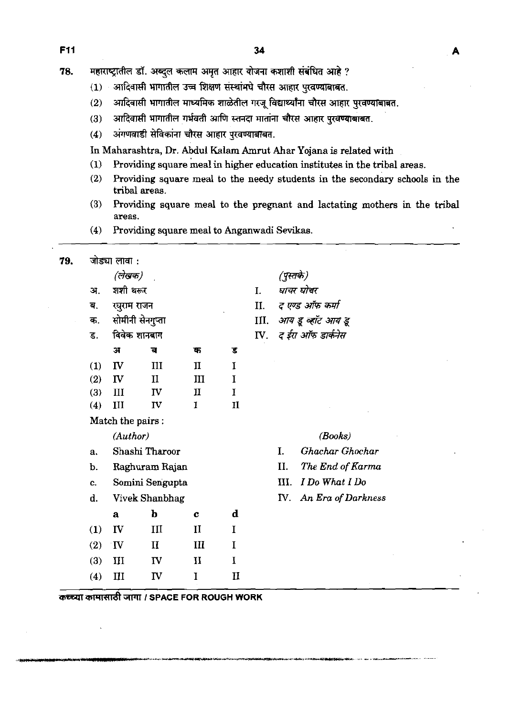78. महाराष्ट्रातील डॉ. अब्दुल कलाम अमृत आहार योजना कशाशी संबंधित आहे ?

- (1) आदिवासी भागातील उच्च शिक्षण संस्थांमधे चौरस आहार पुरवण्याबाबत.
- (2) आदिवासी भागातील माध्यमिक शाळेतील गरजू विद्यार्थ्यांना चौरस आहार पुरवर्ण्याबाबत.
- (3) आदिवासी भागातील गर्भवती आणि स्तनदा मातांना चौरस आहार पुरवण्याबाबत.
- (4) अंगणवाडी सेविकांना चौरस आहार पुरवण्याबाबत.

**In** Maharashtra, Dr. Abdul Kalam Amrut Ahar Yojana is related with

- **(1)** Providing square meal in higher education institutes in the tribal areas.
- **(2)** Providing square meal to the needy students in the secondary schools in the tribal areas.
- **(3)** Providing square meal to the pregnant and lactating mothers in the tribal areas.
- **(4)** Providing square meal to Anganwadi Sevikas.

| 79. |                | जोड्या लावा :    |                 |                |             |               |           |                    |
|-----|----------------|------------------|-----------------|----------------|-------------|---------------|-----------|--------------------|
|     |                | (लेखक)           |                 |                |             |               | (पुस्तके) |                    |
|     | शशी थरूर<br>अ. |                  |                 |                |             | I.            |           | घाचर घोचर          |
|     | ब.             | रघुराम राजन      |                 |                |             | II.           |           | द एण्ड ऑफ कर्मा    |
|     | क.             | सोमीनी सेनगुप्ता |                 |                |             | III.          |           | आय हू व्हॉट आय डू  |
|     | ड.             | विवेक शानबाग     |                 |                |             | $\mathbf{IV}$ |           | द ईरा ऑफ डार्कनेस  |
|     |                | স                | ਰ               | क              | ड           |               |           |                    |
|     | (1)            | IV               | III             | $\mathbf{I}$   | I           |               |           |                    |
|     | (2)            | IV               | $\mathbf{I}$    | III            | I           |               |           |                    |
|     | (3)            | III              | IV              | $\mathbf{\Pi}$ | $\mathbf I$ |               |           |                    |
|     | (4)            | III              | IV              | 1              | II          |               |           |                    |
|     |                | Match the pairs: |                 |                |             |               |           |                    |
|     |                | (Author)         |                 |                |             |               |           | (Books)            |
|     | a <sub>r</sub> |                  | Shashi Tharoor  |                |             |               | I.        | Ghachar Ghochar    |
|     | b.             |                  | Raghuram Rajan  |                |             |               | II.       | The End of Karma   |
|     | c.             |                  | Somini Sengupta |                |             |               | III.      | I Do What I Do     |
|     | d.             |                  | Vivek Shanbhag  |                |             |               | IV.       | An Era of Darkness |
|     |                | $\mathbf{a}$     | $\mathbf b$     | C              | d           |               |           |                    |
|     | (1)            | IV               | III             | $\mathbf{I}$   | I           |               |           |                    |
|     | (2)            | $\mathbf{v}$     | $\mathbf{I}$    | III            | I           |               |           |                    |
|     | (3)            | III              | IV              | $\mathbf{I}$   | I           |               |           |                    |
|     | (4)            | III              | IV              | I              | п           |               |           |                    |

mWWRT&GllTl *I* **SPACE FOR ROUGH WORK**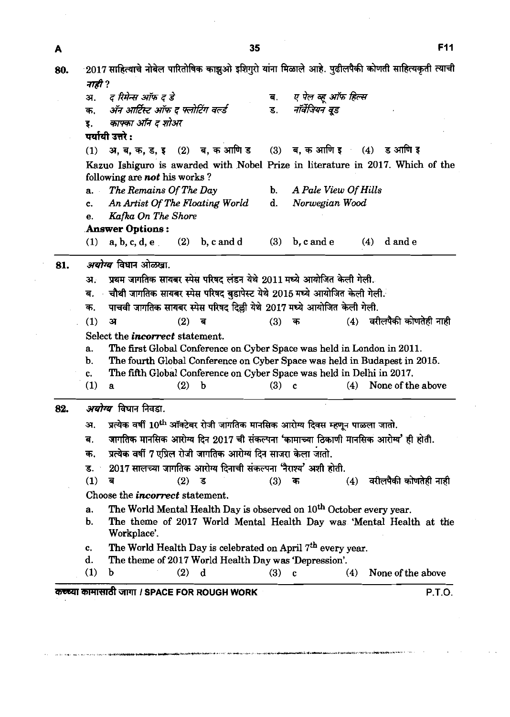2017 साहित्याचे नोबेल पारितोषिक काझुओ इशिगुरो यांना मिळाले आहे. पुढीलपैकी कोणती साहित्यकृती त्याची 80. नाही ? ए पेल व्ह ऑफ हिल्स ट रिमेन्स ऑफ़ ट डे अ. ब. क, अनुआदत्त आगद समादन परेड<br>इ. *काफ्का ऑन द शोअर*<br>(1) अ, ब, क, ड, इ (2) ब, क आणि ड (3) ब, क आणि इ (4) ड आणि इ<br>Kazuo Ishiguro is awarded with Nobel Prize in literature in 2017. Which of the इ. *काफ्का ऑन द* शोअर **पर्यायी** उत्तरे : following are *not* his works ? a. *The Remains Of The Day* b. *A Pale* View *Of Hills*  c. *An Artist* Of *The Routing World* d. *Norwegian Wood*  e. *Kafka On The Shore*  **Answer** *Options* : **(1)** a, b, c, d, e **(2)** b, c **and** d **(3)** b, c and e **(4)** d and e 81. *अयोग्य* विधान ओळखा. अ. प्रथम जागतिक सायबर स्पेस परिषद लंडन येथे 2011 मध्ये आयोजित केली गेली. ब. वौथी जागतिक सायबर स्पेस परिषद बडापेस्ट येथे 2015 मध्ये आयोजित केली गेली. ब. चाथा जागातक सायबर स्पेस पारषद बुडापस्ट यथ 2015 मध्य आयााजत कला गला<br>क. पाचवी जागतिक सायबर स्पेस परिषद दिल्ली येथे 2017 मध्ये आयोजित केली गेली. **(1) a (2) <sup>s</sup>(3)** - **(4) -4fktWr~;rrft**  Select the *incorrect* statement. a. The first Global Conference on Cyber Space was held in London in **2011.**  b. The fourth Global Conference on Cyber Space was held in Budapest in **2015.**  c. The Wh Global Conference on Cyber Space was held in Delhi in **2017. (1)** a **(2)** b **(3)** c **(4)** None of the above *अयोग्य* विधान निवडा. 82. प्रत्येक वर्षी  $10^{\rm th}$  ऑक्टेबर रोजी जागतिक मानसिक आरोग्य दिवस म्हणून पाळला जातो. अ. जागतिक मानसिक आरोग्य दिन 2017 ची संकल्पना 'कामाच्या ठिकाणी मानसिक आरोग्य' ही होती. ब. प्रत्येक वर्षी 7 एप्रिल रोजी जागतिक आरोग्य दिन साजरा केला जातो. क. 2017 सालच्या जागतिक आरोग्य दिनाची संकल्पना 'नैराश्य' अशी होती. ड. वरीलपैकी कोणतेही नाही  $(1)$ ब  $(2)$  $\vec{S}$  $(3)$  $(4)$ क Choose the *incorrect* statement. a. The World Mental Health Day is observed on **loth** October every year. b. The theme of 2017 World Mental Health Day was 'Mental Health at the Workplace'. c. The World Health Day is celebrated on April **7th** every year. d. The theme of **2017** World Health Day was 'Depression'. **(1)** b **(2)** d **(3)** c **(4)** None of the above

35

A

**WWdtm I SPACE FOR ROUGH WORK P.T.O.** 

**F11**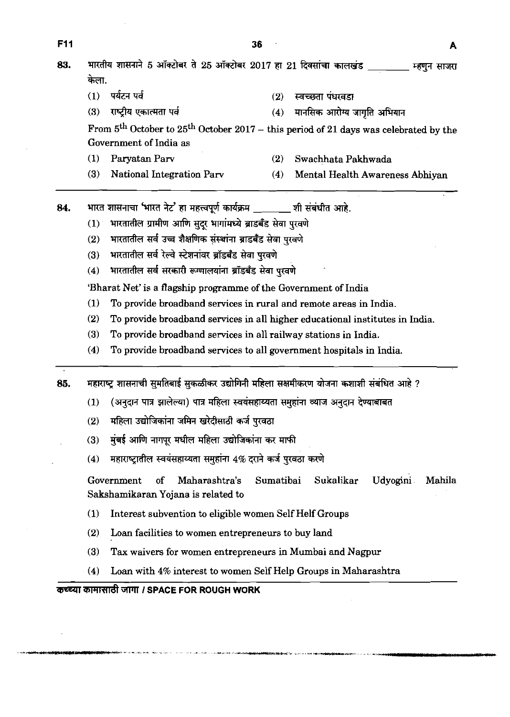|     |                                                                                                                                    |                                                                              | 36  |                                                                                          |  |  |  |  |  |  |
|-----|------------------------------------------------------------------------------------------------------------------------------------|------------------------------------------------------------------------------|-----|------------------------------------------------------------------------------------------|--|--|--|--|--|--|
| 83. |                                                                                                                                    | भारतीय शासनाने 5 ऑक्टोबर ते 25 ऑक्टोबर 2017 हा 21 दिवसांचा कालखंड            |     | म्हणून साजरा                                                                             |  |  |  |  |  |  |
|     | केला.                                                                                                                              |                                                                              |     |                                                                                          |  |  |  |  |  |  |
|     | (1)                                                                                                                                | पर्यटन पर्व                                                                  | (2) | स्वच्छता पंधरवडा                                                                         |  |  |  |  |  |  |
|     | (3)                                                                                                                                | राष्ट्रीय एकात्मता पर्व                                                      | (4) | मानसिक आरोग्य जागृति अभियान                                                              |  |  |  |  |  |  |
|     |                                                                                                                                    | Government of India as                                                       |     | From $5th$ October to $25th$ October 2017 – this period of 21 days was celebrated by the |  |  |  |  |  |  |
|     | $\left(1\right)$                                                                                                                   | Paryatan Parv                                                                | (2) | Swachhata Pakhwada                                                                       |  |  |  |  |  |  |
|     | (3)                                                                                                                                | <b>National Integration Parv</b>                                             | (4) | Mental Health Awareness Abhiyan                                                          |  |  |  |  |  |  |
| 84. |                                                                                                                                    | भारत शासनाचा 'भारत नेट' हा महत्त्वपूर्ण कार्यक्रम ______ शी संबंधीत आहे.     |     |                                                                                          |  |  |  |  |  |  |
|     | भारतातील ग्रामीण आणि सुदूर भागांमध्ये ब्राडबँड सेवा पुरवणे<br>(1)                                                                  |                                                                              |     |                                                                                          |  |  |  |  |  |  |
|     | भारतातील सर्व उच्च शैक्षणिक संस्थांना ब्राडबँड सेवा पुरवणे<br>(2)                                                                  |                                                                              |     |                                                                                          |  |  |  |  |  |  |
|     | (3)                                                                                                                                | भारतातील सर्व रेल्वे स्टेशनांवर ब्रॉडबॅंड सेवा पुरवणे                        |     |                                                                                          |  |  |  |  |  |  |
|     | भारतातील सर्व सरकारी रूग्णालयांना ब्रॉडबॅंड सेवा पुरवणे<br>(4)                                                                     |                                                                              |     |                                                                                          |  |  |  |  |  |  |
|     | 'Bharat Net' is a flagship programme of the Government of India                                                                    |                                                                              |     |                                                                                          |  |  |  |  |  |  |
|     | (1)<br>To provide broadband services in rural and remote areas in India.                                                           |                                                                              |     |                                                                                          |  |  |  |  |  |  |
|     | (2)                                                                                                                                | To provide broadband services in all higher educational institutes in India. |     |                                                                                          |  |  |  |  |  |  |
|     |                                                                                                                                    | (3)<br>To provide broadband services in all railway stations in India.       |     |                                                                                          |  |  |  |  |  |  |
|     | (4)                                                                                                                                | To provide broadband services to all government hospitals in India.          |     |                                                                                          |  |  |  |  |  |  |
| 85. | महाराष्ट्र शासनाची सुमतिबाई सुकळीकर उद्योगिनी महिला सक्षमीकरण योजना कशाशी संबंधित आहे ?                                            |                                                                              |     |                                                                                          |  |  |  |  |  |  |
|     | (अनुदान पात्र झालेल्या) पात्र महिला स्वयंसहाय्यता समुहांना व्याज अनुदान देण्याबाबत<br>(1)                                          |                                                                              |     |                                                                                          |  |  |  |  |  |  |
|     | (2)                                                                                                                                | महिला उद्योजिकांना जमिन खरेदीसाठी कर्ज पुरवठा                                |     |                                                                                          |  |  |  |  |  |  |
|     | (3)                                                                                                                                | मुंबई आणि नागपूर मधील महिला उद्योजिकांना कर माफी                             |     |                                                                                          |  |  |  |  |  |  |
|     | महाराष्ट्रातील स्वयंसहाय्यता समुहांना 4% दराने कर्ज पुरवठा करणे<br>(4)                                                             |                                                                              |     |                                                                                          |  |  |  |  |  |  |
|     | Sumatibai<br>Sukalikar<br>Udyogini<br>Mahila<br><sub>of</sub><br>Maharashtra's<br>Government<br>Sakshamikaran Yojana is related to |                                                                              |     |                                                                                          |  |  |  |  |  |  |
|     | $\left( 1\right)$                                                                                                                  | Interest subvention to eligible women Self Helf Groups                       |     |                                                                                          |  |  |  |  |  |  |
|     | (2)                                                                                                                                | Loan facilities to women entrepreneurs to buy land                           |     |                                                                                          |  |  |  |  |  |  |
|     | (3)                                                                                                                                | Tax waivers for women entrepreneurs in Mumbai and Nagpur                     |     |                                                                                          |  |  |  |  |  |  |
|     | (4)                                                                                                                                | Loan with 4% interest to women Self Help Groups in Maharashtra               |     |                                                                                          |  |  |  |  |  |  |

 $\mathcal{L}^{\text{max}}_{\text{max}}$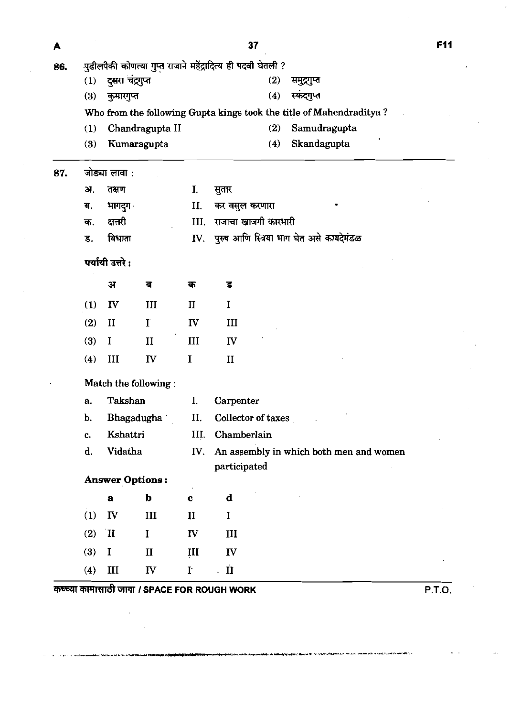| A   |                                                              |                  |                        |                      | 37                                                                  | F11    |  |  |  |  |
|-----|--------------------------------------------------------------|------------------|------------------------|----------------------|---------------------------------------------------------------------|--------|--|--|--|--|
| 86. | पुढीलपैकी कोणत्या गुप्त राजाने महेंद्रादित्य ही पदवी घेतली ? |                  |                        |                      |                                                                     |        |  |  |  |  |
|     | (1)                                                          | दुसरा चंद्रगुप्त | (2)<br>समुद्रगुप्त     |                      |                                                                     |        |  |  |  |  |
|     | (3)                                                          | कुमारगुप्त       |                        |                      | स्कंदगुप्त<br>(4)                                                   |        |  |  |  |  |
|     |                                                              |                  |                        |                      | Who from the following Gupta kings took the title of Mahendraditya? |        |  |  |  |  |
|     | (1)                                                          |                  | Chandragupta II        |                      | Samudragupta<br>(2)                                                 |        |  |  |  |  |
|     | $\left(3\right)$                                             |                  | Kumaragupta            |                      | Skandagupta<br>(4)                                                  |        |  |  |  |  |
| 87. |                                                              | जोड्या लावा :    |                        |                      |                                                                     |        |  |  |  |  |
|     | अ.                                                           | तक्षण            |                        | I.                   | सुतार                                                               |        |  |  |  |  |
|     | ब.                                                           | भागदुग           |                        | II.                  | कर वसुल करणारा                                                      |        |  |  |  |  |
|     | क.                                                           | क्षत्तरी         |                        | III.                 | राजाचा खाजगी कारभारी                                                |        |  |  |  |  |
|     | ड.                                                           | विधाता           |                        | IV.                  | पुरुष आणि स्त्रिया भाग घेत असे कायदेमंडळ                            |        |  |  |  |  |
|     |                                                              | पर्यायी उत्तरे:  |                        |                      |                                                                     |        |  |  |  |  |
|     |                                                              | $\mathbf{H}$     | ब                      | क                    | ड                                                                   |        |  |  |  |  |
|     | (1)                                                          | $\mathbf{I}$     | III                    | $\mathbf{I}$         | I                                                                   |        |  |  |  |  |
|     | (2)                                                          | $\mathbf{I}$     | $\mathbf I$            | IV                   | III                                                                 |        |  |  |  |  |
|     | (3)                                                          | $\bf{I}$         | $\mathbf{I}$           | III                  | ${\bf IV}$                                                          |        |  |  |  |  |
|     | (4)                                                          | III              | IV                     | $\bf{I}$             | $\mathbf{I}$                                                        |        |  |  |  |  |
|     | Match the following:                                         |                  |                        |                      |                                                                     |        |  |  |  |  |
|     | a.                                                           | Takshan          |                        | I.                   | Carpenter                                                           |        |  |  |  |  |
|     | b.                                                           |                  | Bhagadugha             | II.                  | Collector of taxes                                                  |        |  |  |  |  |
|     | c.                                                           | Kshattri         |                        | III.                 | Chamberlain                                                         |        |  |  |  |  |
|     | d.                                                           | Vidatha          |                        | IV.                  | An assembly in which both men and women<br>participated             |        |  |  |  |  |
|     |                                                              |                  | <b>Answer Options:</b> |                      |                                                                     |        |  |  |  |  |
|     |                                                              | $\mathbf a$      | b                      | $\mathbf c$          | $\mathbf d$                                                         |        |  |  |  |  |
|     | (1)                                                          | IV               | III                    | $\mathbf{I}$         | $\bf{I}$                                                            |        |  |  |  |  |
|     | (2)                                                          | $\mathbf{I}$     | $\bf{l}$               | IV                   | III                                                                 |        |  |  |  |  |
|     | (3)                                                          | $\bf{I}$         | $\mathbf{I}$           | III                  | IV                                                                  |        |  |  |  |  |
|     | (4)                                                          | III              | IV                     | $\mathbf{I}^{\star}$ | $\overline{\mathbf{u}}$                                             |        |  |  |  |  |
|     |                                                              |                  |                        |                      | कच्च्या कामासाठी जागा / SPACE FOR ROUGH WORK                        | P.T.O. |  |  |  |  |

 $\sim 10^{11}$  $\mathcal{L}^{\text{max}}_{\text{max}}$   $\frac{1}{2}$ 

 $\mathcal{L}$ 

 $\mathcal{L}_{\text{max}}$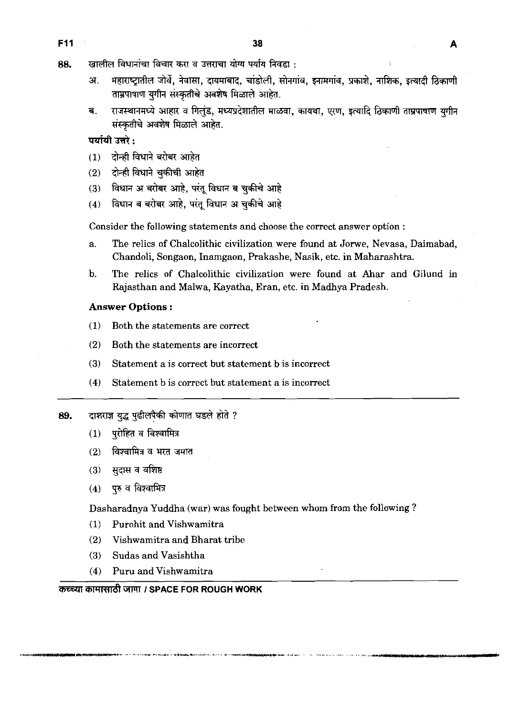F<sub>11</sub>

- खालील विधानांचा विचार करा व उत्तराचा योग्य पर्याय निवडा : 88.
	- महाराष्ट्रातील जोर्वे, नेवासा, दायमाबाद, चांडोली, सोनगांव, इनामगांव, प्रकाशे, नाशिक, इत्यादी ठिकाणी ЭТ. ताम्रपाषाण युगीन संस्कृतीचे अवशेष मिळाले आहेत.

Δ

राजस्थानमध्ये आहार व गिलुंड, मध्यप्रदेशातील माळवा, कायथा, एरण, इत्यादि ठिकाणी ताम्रपाषाण युगीन ब. संस्कृतीचे अवशेष मिळाले आहेत.

पर्यायी उत्तरे :

- (1) टोन्ही विधाने बरोबर आहेत
- दोन्ही विधाने चुकीची आहेत  $(2)$
- विधान अ बरोबर आहे, परंतु विधान ब चुकीचे आहे  $(3)$
- विधान ब बरोबर आहे, परंतू विधान अ चुकीचे आहे  $(4)$

Consider the following statements and choose the correct answer option :

- a. The relics of Chalcolithic civilization were found at Jorwe, Nevasa, Daimabad, Chandoli, Songaon, Inamgaon, Prakashe, Nasik, etc. in Maharashtra.
- b. The relics of Chalcolithic civilization were found at Ahar and Gilund in Rajasthan and Malwa, Kayatha, Eran, etc. in Madhya Pradesh.

## **Answer Options** :

- **(1)** Both the statements are correct
- (2) Both the statements are incorrect
- (3) Statement a is correct but statement b is incorrect
- (4) Statement b is correct but statement a is incorrect
- 89. दाशराज्ञ युद्ध पुढीलपैकी कोणात घडले होते ?
	- (1) प्**रोहित व विश्वामित्र**
	- (2) विश्वामित्र व भरत जमात
	- (3) **सदास व वशिष्ठ**
	- (4) **पुरु** व विश्वामित्र

Dasharadnya Yuddha (war) was fought between whom from the following ?

- (1) Purohit and Vishwamitra
- (2) Vishwamitra and Bharat tribe
- **(3)** Sudas and Vasishtha
- (4) Puru and Vishwamitra

# **ZEE THE ARRY IN THE POR ROUGH WORK**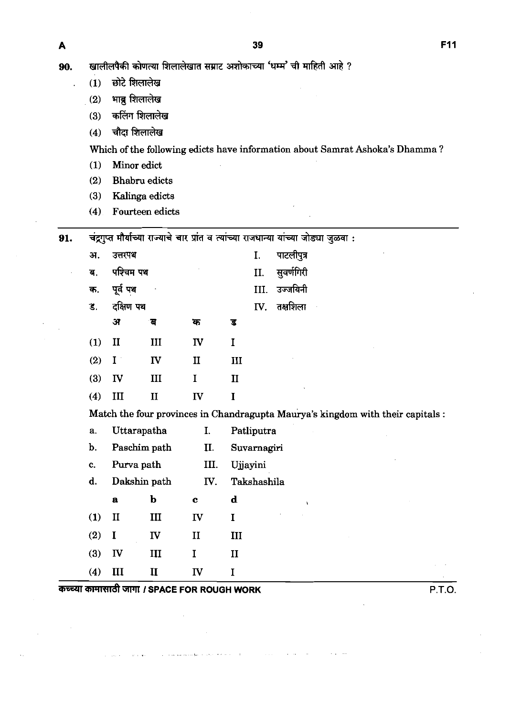A

90. खालीलपैकी कोणत्या शिलालेखात सम्राट अशोकाच्या 'धम्म' ची माहिती आहे ?<br>- (1) छोटे शिलालेख गैकी कोणत्या शिलालेखात<br>छोटे शिलालेख<br>भाब्रु शिलालेख<br><sub>कलिंग</sub> शिलालेख<br>कलिंग शिलालेख

- 
- **(2)**
- (2) भाब्रु शिलालेख<br>(3) कलिंग शिलालेख
- (4) चौदा शिलालेख

**Which of the following edicts have information about Samrat Ashoka's Dhamma** ?

- **(1) Minor edict**
- **(2) Bhabm edicts**
- **(3) Kalinga edicts**
- **(4) Fourteen edicts**

91. चंद्रगुप्त मौर्याच्या राज्याचे चार प्रांत व त्यांच्या राजधान्या यांच्या जोड्या जुळवा :

| अ.  | उत्तरपथ      |              |              |              | I. पाटलीपुत्र           |
|-----|--------------|--------------|--------------|--------------|-------------------------|
| ब.  | पश्चिम पथ    |              | $\bullet$    |              | II. सुवर्णगिरी          |
|     | क. पूर्व पथ  |              |              |              | III. उज्जयिनी           |
|     | ड. दक्षिण पथ |              |              |              | $\mathbf{IV.}$ तक्षशिला |
|     | अ            | ंब           | क            | ड            |                         |
| (1) | $\mathbf{H}$ | III          | <b>IV</b>    | I            |                         |
|     | $(2)$ I      | IV           | $\mathbf{I}$ | III          |                         |
| (3) | IV           | Ш            | I            | $\mathbf{I}$ |                         |
| (4) | Ш            | $\mathbf{I}$ | IV           | T            |                         |
|     |              |              |              |              |                         |

Match the four provinces in Chandragupta Maurya's kingdom with their capitals :

 $\mathbf d$ 

 $III$ 

- **a. Uttarapatha I. Patliputra**
- **b. Paschim path 11. Suvarnagiri**
- **c. Purva path 111. Ujayini**
- **d. Dakshin path** IV. **Takshashila**

 $\mathbf c$ 

 $II$ 

- 
- 
- $(1)$  $\mathbf{I}$  $III$  ${\bf IV}$  $\mathbf I$  $\mathbf I$  $(2)$ **IV**

 $\mathbf b$ 

 $\mathbf{a}$ 

- $(3)$ IV  $III$  $\mathbf I$  $\mathbf{II}$ **(4) I11 I1** IV **I**
- कच्च्या कामासाठी जागा *।* SPACE FOR ROUGH WORK **Example 20 and SPACE P.T.O.**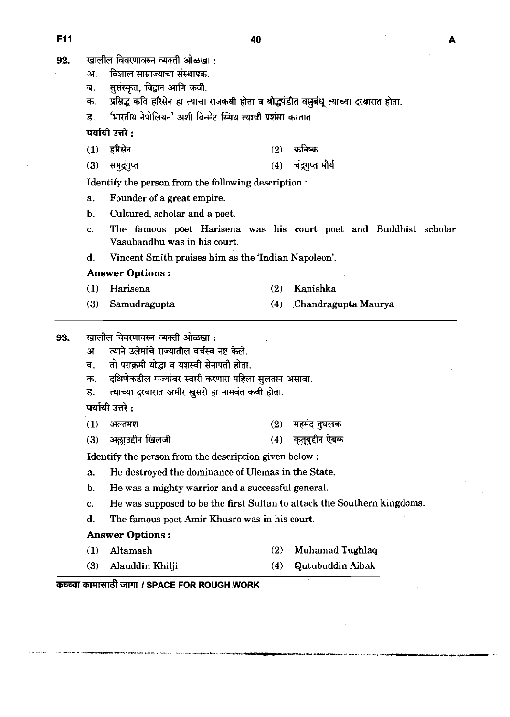| 92. | खालील विवरणावरुन व्यक्ती ओळखा :                       |                                                                                       |     |                                                                  |  |  |  |  |  |  |  |  |
|-----|-------------------------------------------------------|---------------------------------------------------------------------------------------|-----|------------------------------------------------------------------|--|--|--|--|--|--|--|--|
|     | अ.                                                    | विशाल साम्राज्याचा संस्थापक.                                                          |     |                                                                  |  |  |  |  |  |  |  |  |
|     | ब.                                                    | सुसंस्कृत, विद्वान आणि कवी.                                                           |     |                                                                  |  |  |  |  |  |  |  |  |
|     | क.                                                    | प्रसिद्ध कवि हरिसेन हा त्याचा राजकवी होता व बौद्धपंडीत वसुबंधू त्याच्या दरबारात होता. |     |                                                                  |  |  |  |  |  |  |  |  |
|     | ड.                                                    | 'भारतीय नेपोलियन' अशी विन्सेंट स्मिथ त्याची प्रशंसा करतात.                            |     |                                                                  |  |  |  |  |  |  |  |  |
|     | पर्यायी उत्तरे :                                      |                                                                                       |     |                                                                  |  |  |  |  |  |  |  |  |
|     | (1)                                                   | हरिसेन                                                                                | (2) | कनिष्क                                                           |  |  |  |  |  |  |  |  |
|     | (3)                                                   | समुद्रगुप्त                                                                           | (4) | चंद्रगप्त मौर्य                                                  |  |  |  |  |  |  |  |  |
|     |                                                       | Identify the person from the following description :                                  |     |                                                                  |  |  |  |  |  |  |  |  |
|     | a.                                                    | Founder of a great empire.                                                            |     |                                                                  |  |  |  |  |  |  |  |  |
|     | $\mathbf{b}$ .                                        | Cultured, scholar and a poet.                                                         |     |                                                                  |  |  |  |  |  |  |  |  |
|     | c.                                                    | Vasubandhu was in his court.                                                          |     | The famous poet Harisena was his court poet and Buddhist scholar |  |  |  |  |  |  |  |  |
|     | d.                                                    | Vincent Smith praises him as the 'Indian Napoleon'.                                   |     |                                                                  |  |  |  |  |  |  |  |  |
|     | <b>Answer Options:</b>                                |                                                                                       |     |                                                                  |  |  |  |  |  |  |  |  |
|     | (1)                                                   | Harisena                                                                              | (2) | Kanishka                                                         |  |  |  |  |  |  |  |  |
|     | (3)                                                   | Samudragupta                                                                          | (4) | Chandragupta Maurya                                              |  |  |  |  |  |  |  |  |
|     | खालील विवरणावरुन व्यक्ती ओळखा :                       |                                                                                       |     |                                                                  |  |  |  |  |  |  |  |  |
| 93. | 37.                                                   | त्याने उलेमांचे राज्यातील वर्चस्व नष्ट केले.                                          |     |                                                                  |  |  |  |  |  |  |  |  |
|     | ब.                                                    | तो पराक्रमी योद्धा व यशस्वी सेनापती होता.                                             |     |                                                                  |  |  |  |  |  |  |  |  |
|     | क.                                                    | दक्षिणेकडील राज्यांवर स्वारी करणारा पहिला सुलतान असावा.                               |     |                                                                  |  |  |  |  |  |  |  |  |
|     | ड.                                                    | त्याच्या दरबारात अमीर खुसरो हा नामवंत कवी होता.                                       |     |                                                                  |  |  |  |  |  |  |  |  |
|     | पर्यायी उत्तरे :                                      |                                                                                       |     |                                                                  |  |  |  |  |  |  |  |  |
|     | (1)                                                   | अल्तमश                                                                                | (2) | महमद तुघलक                                                       |  |  |  |  |  |  |  |  |
|     | (3)                                                   | अल्लाउद्दीन खिलजी                                                                     | (4) | कुतुबुद्दीन ऐबक                                                  |  |  |  |  |  |  |  |  |
|     | Identify the person from the description given below: |                                                                                       |     |                                                                  |  |  |  |  |  |  |  |  |
|     | a.                                                    | He destroyed the dominance of Ulemas in the State.                                    |     |                                                                  |  |  |  |  |  |  |  |  |
|     | b.                                                    | He was a mighty warrior and a successful general.                                     |     |                                                                  |  |  |  |  |  |  |  |  |
|     | c.                                                    | He was supposed to be the first Sultan to attack the Southern kingdoms.               |     |                                                                  |  |  |  |  |  |  |  |  |
|     | d.                                                    | The famous poet Amir Khusro was in his court.                                         |     |                                                                  |  |  |  |  |  |  |  |  |
|     |                                                       | <b>Answer Options:</b>                                                                |     |                                                                  |  |  |  |  |  |  |  |  |
|     | (1)                                                   | Altamash<br>Muhamad Tughlaq<br>(2)                                                    |     |                                                                  |  |  |  |  |  |  |  |  |
|     | (3)                                                   | Alauddin Khilji                                                                       | (4) | Qutubuddin Aibak                                                 |  |  |  |  |  |  |  |  |
|     |                                                       |                                                                                       |     |                                                                  |  |  |  |  |  |  |  |  |

 $\bar{\gamma}$ 

institutes of the memory degree.

# **कच्च्या कामासाठी जागा / SPACE FOR ROUGH WORK**

**Fll 40** 

A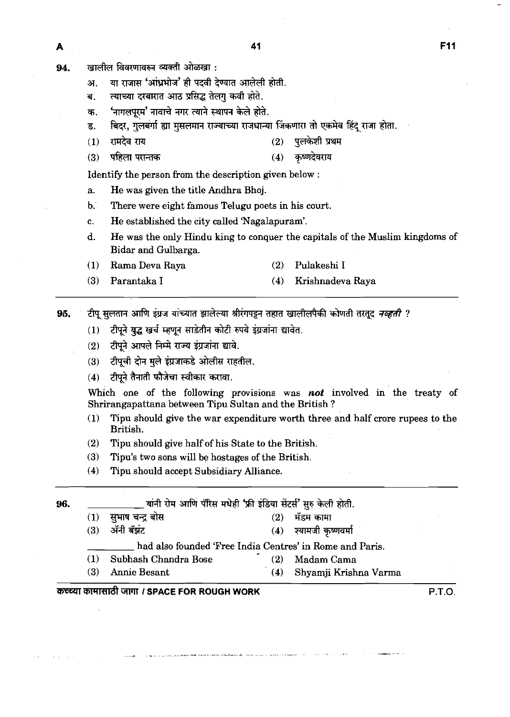- खालील विवरणावरुन व्यक्ती ओळखा: 94.
	- या राजास 'आंध्रभोज' ही पदवी देण्यात आलेली होती. अ.
	- त्याच्या दरबारात आठ प्रसिद्ध तेलग कवी होते. ब.
	- 'नागलपूरम' नावाचे नगर त्याने स्थापन केले होते. क.
	- बिदर, गुलबर्गा ह्या मुसलमान राज्याच्या राजधान्या जिंकणारा तो एकमेव हिंद राजा होता. ड.
	- रामदेव राय पलकेशी प्रथम  $(1)$  $(2)$
	- पहिला परान्तक कृष्णदेवराय  $(3)$  $(4)$

Identify the person from the description given below :

- a. He was given the title Andhra Bhoj.
- b. There were eight famous Telugu poets in his court.
- c. He established the city called 'Nagalapuram'.
- d. He was the only Hindu king to conquer the capitals of the Muslim kingdoms of Bidar and Gulbarga.
- **(1)** Rama Deva Raya **(2)** Pulakeshi I
- **(3)** Parantaka I **(4)** Krishnadeva Raya
- टीपू सुलतान आणि इंग्रज यांच्यात झालेल्या श्रीरंगपट्टन तहात खालीलपैकी कोणती तरतूद *नव्हती ?* 95.
	- टीपूने युद्ध खर्च म्हणून साडेतीन कोटी रुपये इंग्रजांना द्यावेत.  $(1)$
	- टीपुने आपले निम्मे राज्य इंग्रजांना द्यावे.  $(2)$
	- टीपूची दोन मूले इंग्रजाकडे ओलीस राहतील.  $(3)$
	- टीपने तैनाती फौजेचा स्वीकार करावा.  $(4)$

Which one of the following provisions was **not** involved in the treaty of Shrirangapattana between Tipu Sultan and the British ?

- **(1)** Tipu should give the war expenditure worth three and half crore rupees to the British.
- **(2)** Tipu should give half of his State to the British.
- **(3)** Tipu's two sons will be hostages of the British.
- **(4)** Tipu should accept Subsidiary Alliance.

**96.** ~hWbT~d8'5R\$hT~'~~T?lift. **(1) gmw\* (2)** %m **(3)** <sup>a</sup>\* **(4) d** 

- -

had also founded 'Free India Centres' in Rome and Paris.<br>Also Chandra Bose (2) Madam Cama

(1) Subhash Chandra Bose

- 
- **(3)** Annie Besant **(4)** Shyamji Krishna Varma

# mm GlTII *I* **SPACE FOR ROUGH WORK** P.T.O.

A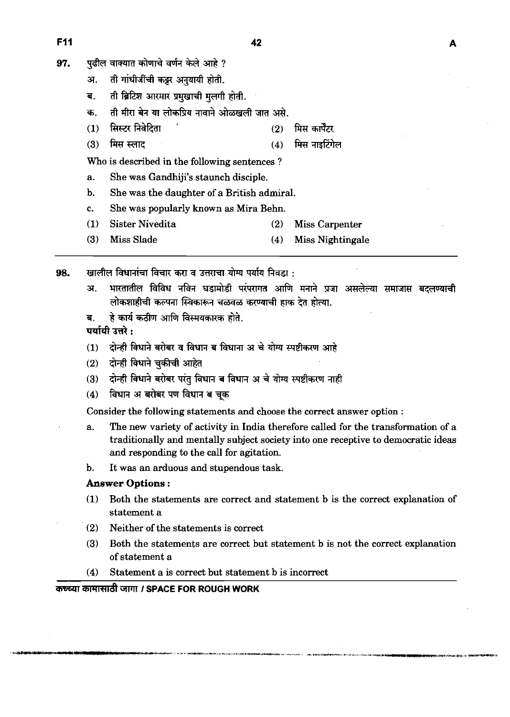- 97. **पढील वाक्यात कोणाचे वर्णन केले आहे** ?
	-
	- अ. ती गांधी<mark>जींची कट्टर</mark> अनुयायी होती.<br>ब. ती ब्रिटिश आरमार प्रमुखाची मुलगी होती.
	-
	- . **iftrftn\*t;rvr~~~~.**  अ. ता गाधाजाचा कट्टर अनुयाया हाता.<br>ब. ती ब्रिटिश आरमार प्रमुखाची मुलगी होती.<br>क. ती मीरा बेन या लोकप्रिय नावाने ओळखली जात असे.<br>(1) सिस्टर निवेदिता<br>(3) मिम म्लाट
	- (3) मिस स्लाद (4) मिस नाइटिंगेल

Who is described in the following sentences ?

- a. She was Gandhiji's staunch disciple.
- b. She was the daughter of a British admiral.
- c. She was popularly known as Mira Behn.
- **(1)** Sister Nivedita **(2)** Miss Carpenter
- **(3)** Miss Slade **(4)** Miss Nightingale

98. खालील विधानांचा विचार करा व उत्तराचा योग्य पर्याय निवडा :

- अ. भारतातील विविध नविन घडामोडी परंपरागत आणि मनाने प्रजा असलेल्या समाजास बदलण्याची 7!h?lTMm---mk\*. . **i3dmsrrfarf&mam~.** \*\*:
- 

- 
- दोन्ही विधाने चुकीची आहेत  $(2)$
- दोन्ही विधाने बरोबर परंतु विधान ब विधान अ चे योग्य स्पष्टीकरण नाही  $(3)$
- विधान अ बरोबर पण विधान ब चक  $(4)$

Consider the following statements and choose the correct answer option :

- a. The new variety of activity in India therefore called for the transformation of a traditionally and mentally subject society into one receptive to democratic ideas and responding to the call for agitation.
- b. It was an arduous and stupendous task.

# **Answer Options** :

- **(1)** Both the statements are correct and statement b is the correct explanation of statement a
- **(2)** Neither of the statements is correct
- **(3)** Both the statements are correct but statement b is not the correct explanation of statement a
- **(4)** Statement a is correct but statement b is incorrect

 $\overline{\text{a}}$  **চন্দ্রা মারু । SPACE FOR ROUGH WORK** 

**F11**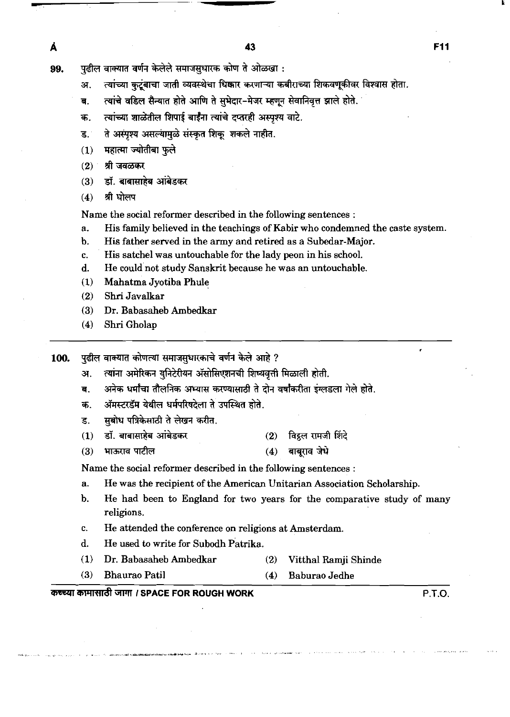- 99. पुढील वाक्यात वर्णन केलेले समाजसधारक कोण ते ओळखा :
	- अ. त्यांच्या कुटुंबाचा जाती व्यवस्थेचा धिकार करणाऱ्या कबीराच्या शिकवणूकीवर विश्वास होता.
	- ब. त्यांचे वडिल सैन्यात होते आणि ते सुभेदार-मेजर म्हणून सेवानिवृत्त झाले होते.
	- क. ल्यांच्या शाळेतील शिपाई बाईंंग त्यांचे दप्तरही अस्पश्य वाटे.
	- ते अस्पृश्य असल्यामुळे संस्कृत शिकू शकले नाहीत. **ड**.
	- महात्मा ज्योतीबा फुले  $(1)$
	- श्री जवळकर  $(2)$

Å

- डॉ. बाबासाहेब आंबेडकर  $(3)$
- श्री घोलप  $(4)$

Name the social reformer described in the following sentences :

- a. His family believed in the teachings of Kabir who condemned the caste system.
- b. His father served in the army and retired as a Subedar-Major.
- c. His satchel was untouchable for the lady peon in his school.
- d. He could not study Sanskrit because he was an untouchable.
- (1) Mahatma Jyotiba Phule
- (2) Shri Javalkar
- (3) Dr. Babasaheb Ambedkar
- (4) Shri Gholap
- 100. Yुढील वाक्यात कोणत्या समाजसुधारकाचे वर्णन केले आहे ?
	- अ. त्यांना अमेरिकन युनिटेरीयन ॲसोसिएशनची शिष्यवृत्ती मिळाली होती.
	- ब. अनेक धर्मांचा तौलनिक अभ्यास करण्यासाठी ते दोन वर्षांकरीता इंग्लडला गेले होते. अ. त्यांना अमेरिकन युनिटेरीयन ॲसोसिएशनची शिष्यवृत्ती मिळाली होती.<br>ब. अनेक धर्मांचा तौलनिक अभ्यास करण्यासाठी ते दोन वर्षांकरीता इंग्लडला <sup>;</sup><br>क. अॅमस्टरडॅम येथील धर्मपरिषदेला ते उपस्थित होते.<br>ड. सुबोध पत्रिके
	- क. ऑमस्टरडॅम येथील धर्मपरिषदेला ते उपस्थित होते.
	- ड. सबोध पत्रिकेसाठी ते लेखन करीत.
	-
	- **(3)** -\* (4) **wigE4**

Name the social reformer described in the following sentences :

- a. He was the recipient of the American Unitarian Association Scholarship.
- b. He had been to England for two years for the comparative study of many religions.
- c. He attended the conference on religions at Amsterdam.
- d. He used to write for Subodh Patrika.
- (1) Dr. Babasaheb Ambedkar (2) Vitthal Ramji Shinde
- (3) Bhaurao Patil (4) Baburao Jedhe

#### ilWldt WT **I SPACE FOR ROUGH WORK P.T.O.**

F11